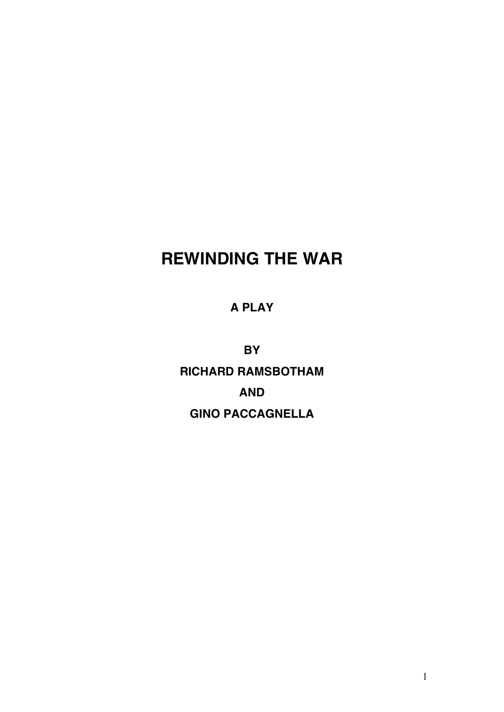# **REWINDING THE WAR**

## **A PLAY**

**BY RICHARD RAMSBOTHAM AND GINO PACCAGNELLA**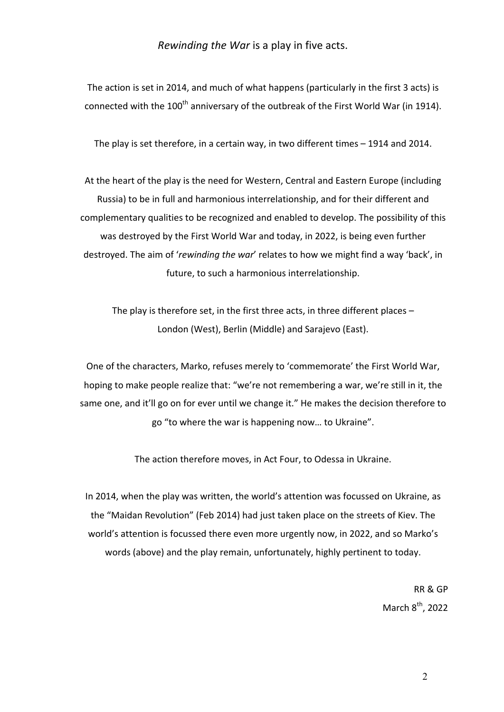*Rewinding the War* is a play in five acts.

The action is set in 2014, and much of what happens (particularly in the first 3 acts) is connected with the 100<sup>th</sup> anniversary of the outbreak of the First World War (in 1914).

The play is set therefore, in a certain way, in two different times  $-$  1914 and 2014.

At the heart of the play is the need for Western, Central and Eastern Europe (including Russia) to be in full and harmonious interrelationship, and for their different and complementary qualities to be recognized and enabled to develop. The possibility of this was destroyed by the First World War and today, in 2022, is being even further destroyed. The aim of 'rewinding the war' relates to how we might find a way 'back', in future, to such a harmonious interrelationship.

The play is therefore set, in the first three acts, in three different places  $-$ London (West), Berlin (Middle) and Sarajevo (East).

One of the characters, Marko, refuses merely to 'commemorate' the First World War, hoping to make people realize that: "we're not remembering a war, we're still in it, the same one, and it'll go on for ever until we change it." He makes the decision therefore to go "to where the war is happening now... to Ukraine".

The action therefore moves, in Act Four, to Odessa in Ukraine.

In 2014, when the play was written, the world's attention was focussed on Ukraine, as the "Maidan Revolution" (Feb 2014) had just taken place on the streets of Kiev. The world's attention is focussed there even more urgently now, in 2022, and so Marko's words (above) and the play remain, unfortunately, highly pertinent to today.

> RR & GP March  $8<sup>th</sup>$ , 2022

> > 2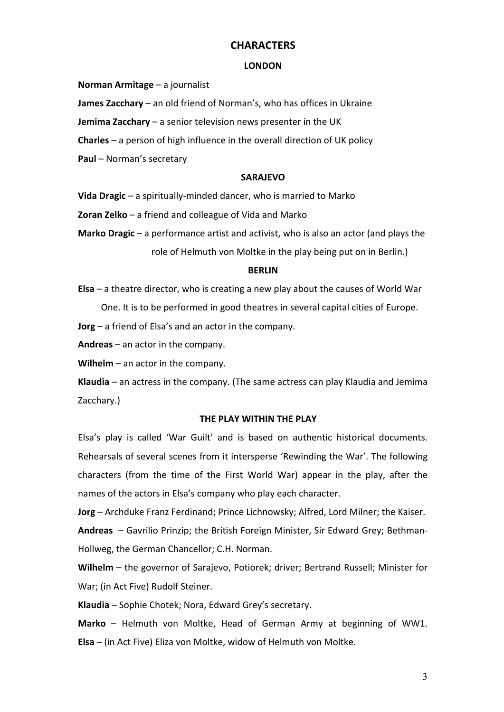### **CHARACTERS**

#### **LONDON**

**Norman Armitage** – a journalist

**James Zacchary** – an old friend of Norman's, who has offices in Ukraine

**Jemima Zacchary** – a senior television news presenter in the UK

**Charles** – a person of high influence in the overall direction of UK policy

**Paul** – Norman's secretary

#### **SARAJEVO**

**Vida Dragic** – a spiritually-minded dancer, who is married to Marko

**Zoran Zelko** – a friend and colleague of Vida and Marko

**Marko Dragic** – a performance artist and activist, who is also an actor (and plays the role of Helmuth von Moltke in the play being put on in Berlin.)

#### **BERLIN**

**Elsa** – a theatre director, who is creating a new play about the causes of World War

One. It is to be performed in good theatres in several capital cities of Europe.

**Jorg** – a friend of Elsa's and an actor in the company.

**Andreas** – an actor in the company.

**Wilhelm** – an actor in the company.

**Klaudia** – an actress in the company. (The same actress can play Klaudia and Jemima Zacchary.) 

#### **THE PLAY WITHIN THE PLAY**

Elsa's play is called 'War Guilt' and is based on authentic historical documents. Rehearsals of several scenes from it intersperse 'Rewinding the War'. The following characters (from the time of the First World War) appear in the play, after the names of the actors in Elsa's company who play each character.

**Jorg** – Archduke Franz Ferdinand; Prince Lichnowsky; Alfred, Lord Milner; the Kaiser. **Andreas** – Gavrilio Prinzip; the British Foreign Minister, Sir Edward Grey; Bethman-Hollweg, the German Chancellor; C.H. Norman.

Wilhelm – the governor of Sarajevo, Potiorek; driver; Bertrand Russell; Minister for War; (in Act Five) Rudolf Steiner.

Klaudia – Sophie Chotek; Nora, Edward Grey's secretary.

**Marko** – Helmuth von Moltke, Head of German Army at beginning of WW1. **Elsa** – (in Act Five) Eliza von Moltke, widow of Helmuth von Moltke.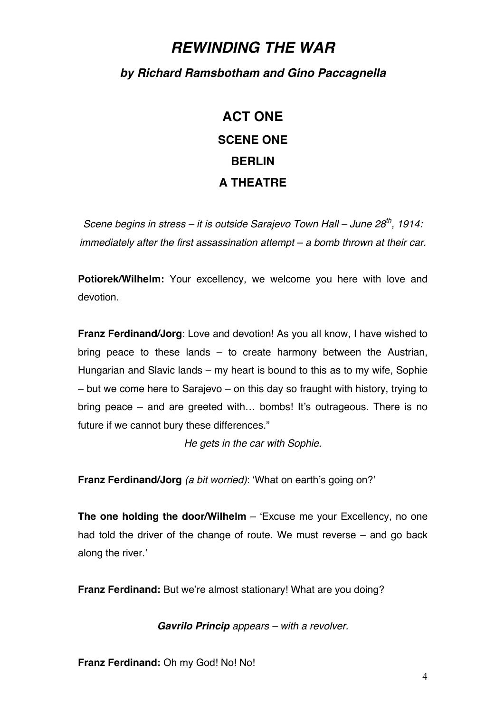# *REWINDING THE WAR*

## *by Richard Ramsbotham and Gino Paccagnella*

# **ACT ONE SCENE ONE BERLIN A THEATRE**

*Scene begins in stress – it is outside Sarajevo Town Hall – June 28th, 1914: immediately after the first assassination attempt – a bomb thrown at their car.*

**Potiorek/Wilhelm:** Your excellency, we welcome you here with love and devotion.

**Franz Ferdinand/Jorg**: Love and devotion! As you all know, I have wished to bring peace to these lands – to create harmony between the Austrian, Hungarian and Slavic lands – my heart is bound to this as to my wife, Sophie – but we come here to Sarajevo – on this day so fraught with history, trying to bring peace – and are greeted with… bombs! It's outrageous. There is no future if we cannot bury these differences."

*He gets in the car with Sophie.*

**Franz Ferdinand/Jorg** *(a bit worried)*: 'What on earth's going on?'

**The one holding the door/Wilhelm** – 'Excuse me your Excellency, no one had told the driver of the change of route. We must reverse – and go back along the river.'

**Franz Ferdinand:** But we're almost stationary! What are you doing?

*Gavrilo Princip appears – with a revolver.*

**Franz Ferdinand:** Oh my God! No! No!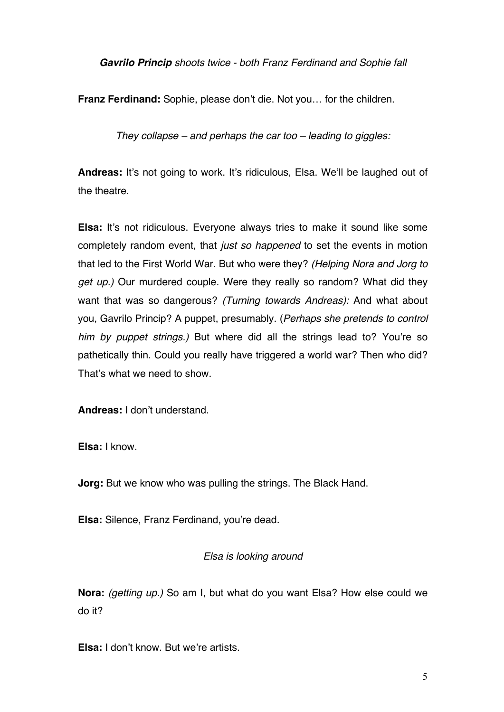*Gavrilo Princip shoots twice - both Franz Ferdinand and Sophie fall*

**Franz Ferdinand:** Sophie, please don't die. Not you… for the children.

*They collapse – and perhaps the car too – leading to giggles:*

**Andreas:** It's not going to work. It's ridiculous, Elsa. We'll be laughed out of the theatre.

**Elsa:** It's not ridiculous. Everyone always tries to make it sound like some completely random event, that *just so happened* to set the events in motion that led to the First World War. But who were they? *(Helping Nora and Jorg to get up.)* Our murdered couple. Were they really so random? What did they want that was so dangerous? *(Turning towards Andreas):* And what about you, Gavrilo Princip? A puppet, presumably. (*Perhaps she pretends to control him by puppet strings.)* But where did all the strings lead to? You're so pathetically thin. Could you really have triggered a world war? Then who did? That's what we need to show.

**Andreas:** I don't understand.

**Elsa:** I know.

**Jorg:** But we know who was pulling the strings. The Black Hand.

**Elsa:** Silence, Franz Ferdinand, you're dead.

### *Elsa is looking around*

**Nora:** *(getting up.)* So am I, but what do you want Elsa? How else could we do it?

**Elsa:** I don't know. But we're artists.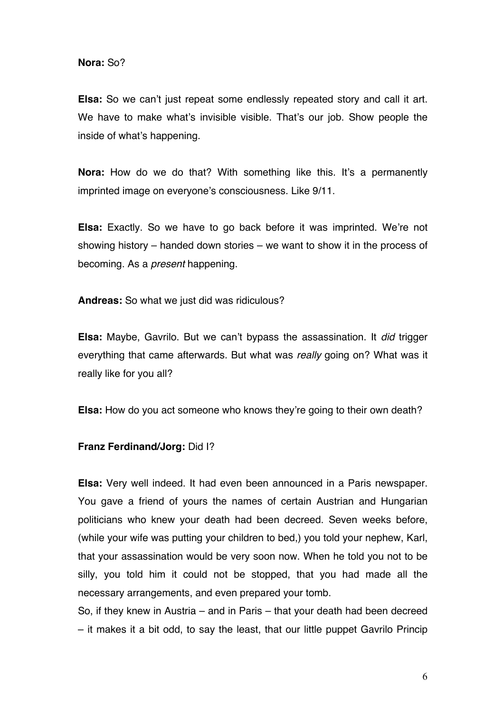**Nora:** So?

**Elsa:** So we can't just repeat some endlessly repeated story and call it art. We have to make what's invisible visible. That's our job. Show people the inside of what's happening.

**Nora:** How do we do that? With something like this. It's a permanently imprinted image on everyone's consciousness. Like 9/11.

**Elsa:** Exactly. So we have to go back before it was imprinted. We're not showing history – handed down stories – we want to show it in the process of becoming. As a *present* happening.

**Andreas:** So what we just did was ridiculous?

**Elsa:** Maybe, Gavrilo. But we can't bypass the assassination. It *did* trigger everything that came afterwards. But what was *really* going on? What was it really like for you all?

**Elsa:** How do you act someone who knows they're going to their own death?

### **Franz Ferdinand/Jorg:** Did I?

**Elsa:** Very well indeed. It had even been announced in a Paris newspaper. You gave a friend of yours the names of certain Austrian and Hungarian politicians who knew your death had been decreed. Seven weeks before, (while your wife was putting your children to bed,) you told your nephew, Karl, that your assassination would be very soon now. When he told you not to be silly, you told him it could not be stopped, that you had made all the necessary arrangements, and even prepared your tomb.

So, if they knew in Austria – and in Paris – that your death had been decreed – it makes it a bit odd, to say the least, that our little puppet Gavrilo Princip

6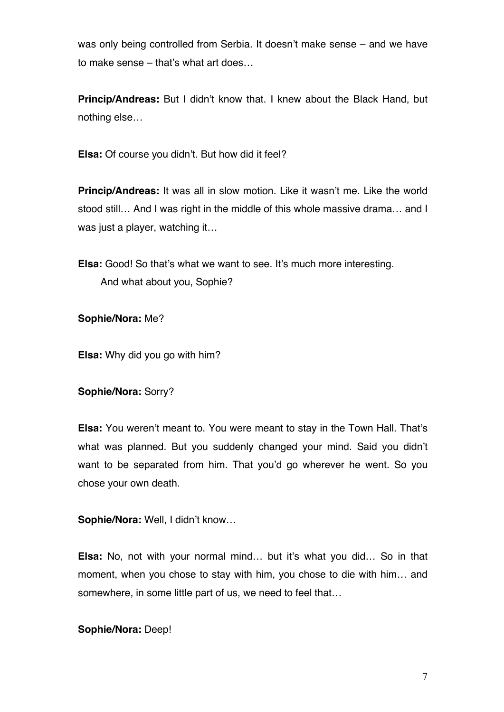was only being controlled from Serbia. It doesn't make sense – and we have to make sense – that's what art does…

**Princip/Andreas:** But I didn't know that. I knew about the Black Hand, but nothing else…

**Elsa:** Of course you didn't. But how did it feel?

**Princip/Andreas:** It was all in slow motion. Like it wasn't me. Like the world stood still… And I was right in the middle of this whole massive drama… and I was just a player, watching it…

**Elsa:** Good! So that's what we want to see. It's much more interesting. And what about you, Sophie?

**Sophie/Nora:** Me?

**Elsa:** Why did you go with him?

**Sophie/Nora:** Sorry?

**Elsa:** You weren't meant to. You were meant to stay in the Town Hall. That's what was planned. But you suddenly changed your mind. Said you didn't want to be separated from him. That you'd go wherever he went. So you chose your own death.

**Sophie/Nora:** Well, I didn't know…

**Elsa:** No, not with your normal mind… but it's what you did… So in that moment, when you chose to stay with him, you chose to die with him… and somewhere, in some little part of us, we need to feel that…

**Sophie/Nora:** Deep!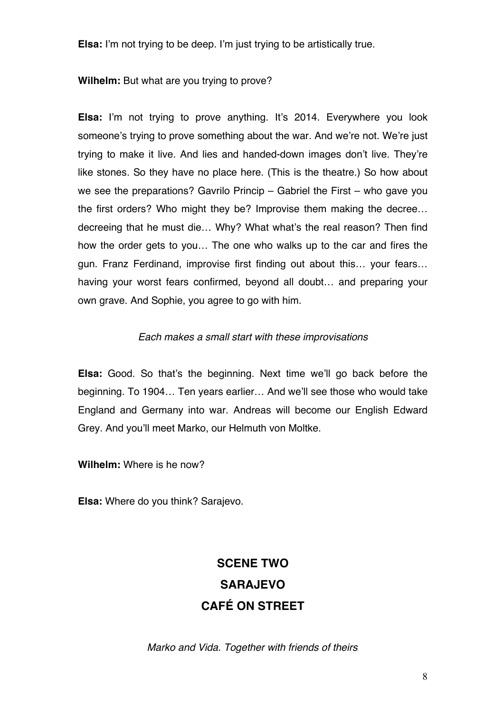**Elsa:** I'm not trying to be deep. I'm just trying to be artistically true.

**Wilhelm:** But what are you trying to prove?

**Elsa:** I'm not trying to prove anything. It's 2014. Everywhere you look someone's trying to prove something about the war. And we're not. We're just trying to make it live. And lies and handed-down images don't live. They're like stones. So they have no place here. (This is the theatre.) So how about we see the preparations? Gavrilo Princip – Gabriel the First – who gave you the first orders? Who might they be? Improvise them making the decree… decreeing that he must die… Why? What what's the real reason? Then find how the order gets to you… The one who walks up to the car and fires the gun. Franz Ferdinand, improvise first finding out about this… your fears… having your worst fears confirmed, beyond all doubt… and preparing your own grave. And Sophie, you agree to go with him.

### *Each makes a small start with these improvisations*

**Elsa:** Good. So that's the beginning. Next time we'll go back before the beginning. To 1904… Ten years earlier… And we'll see those who would take England and Germany into war. Andreas will become our English Edward Grey. And you'll meet Marko, our Helmuth von Moltke.

**Wilhelm:** Where is he now?

**Elsa:** Where do you think? Sarajevo.

# **SCENE TWO SARAJEVO CAFÉ ON STREET**

*Marko and Vida. Together with friends of theirs.*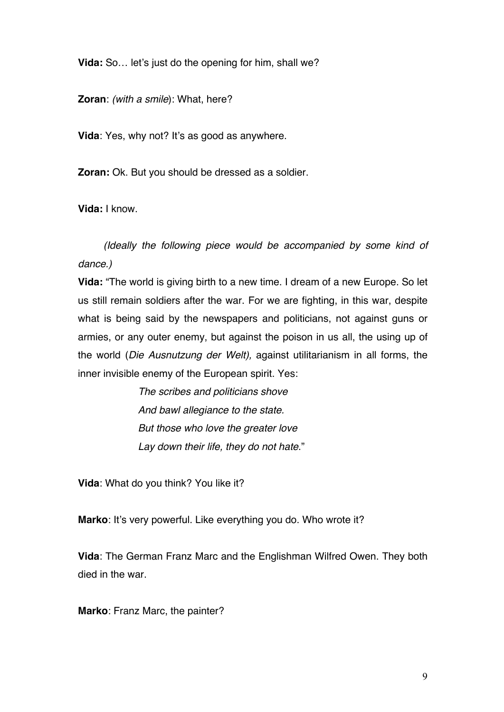**Vida:** So... let's just do the opening for him, shall we?

**Zoran**: *(with a smile*): What, here?

**Vida**: Yes, why not? It's as good as anywhere.

**Zoran:** Ok. But you should be dressed as a soldier.

**Vida:** I know.

 *(Ideally the following piece would be accompanied by some kind of dance.)* 

**Vida:** "The world is giving birth to a new time. I dream of a new Europe. So let us still remain soldiers after the war. For we are fighting, in this war, despite what is being said by the newspapers and politicians, not against guns or armies, or any outer enemy, but against the poison in us all, the using up of the world (*Die Ausnutzung der Welt),* against utilitarianism in all forms, the inner invisible enemy of the European spirit. Yes:

> *The scribes and politicians shove And bawl allegiance to the state. But those who love the greater love Lay down their life, they do not hate*."

**Vida**: What do you think? You like it?

**Marko**: It's very powerful. Like everything you do. Who wrote it?

**Vida**: The German Franz Marc and the Englishman Wilfred Owen. They both died in the war.

**Marko**: Franz Marc, the painter?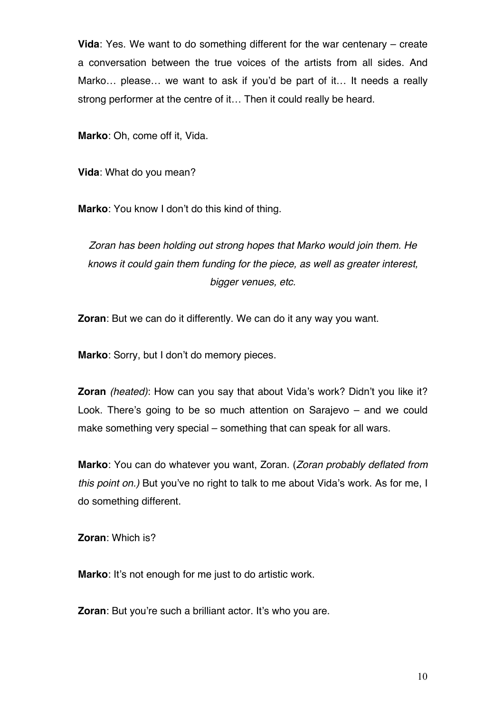**Vida**: Yes. We want to do something different for the war centenary – create a conversation between the true voices of the artists from all sides. And Marko… please… we want to ask if you'd be part of it… It needs a really strong performer at the centre of it… Then it could really be heard.

**Marko**: Oh, come off it, Vida.

**Vida**: What do you mean?

**Marko**: You know I don't do this kind of thing.

*Zoran has been holding out strong hopes that Marko would join them. He knows it could gain them funding for the piece, as well as greater interest, bigger venues, etc.*

**Zoran**: But we can do it differently. We can do it any way you want.

**Marko**: Sorry, but I don't do memory pieces.

**Zoran** *(heated)*: How can you say that about Vida's work? Didn't you like it? Look. There's going to be so much attention on Sarajevo – and we could make something very special – something that can speak for all wars.

**Marko**: You can do whatever you want, Zoran. (*Zoran probably deflated from this point on.)* But you've no right to talk to me about Vida's work. As for me, I do something different.

**Zoran**: Which is?

**Marko**: It's not enough for me just to do artistic work.

**Zoran**: But you're such a brilliant actor. It's who you are.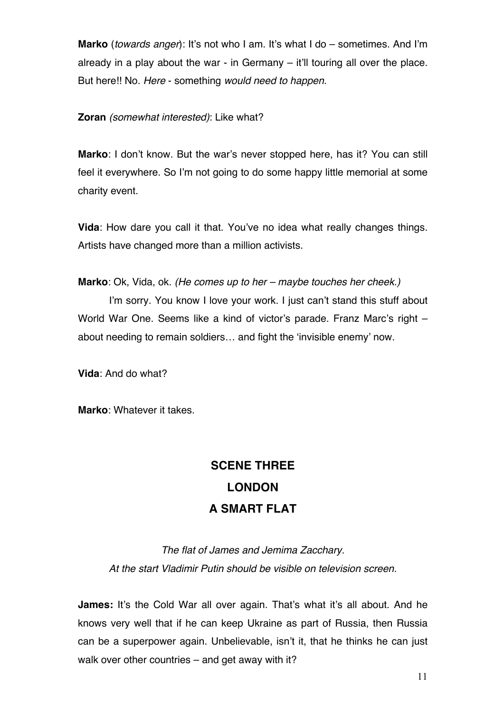**Marko** (*towards anger*): It's not who I am. It's what I do – sometimes. And I'm already in a play about the war - in Germany – it'll touring all over the place. But here!! No. *Here* - something *would need to happen.*

**Zoran** *(somewhat interested)*: Like what?

**Marko**: I don't know. But the war's never stopped here, has it? You can still feel it everywhere. So I'm not going to do some happy little memorial at some charity event.

**Vida**: How dare you call it that. You've no idea what really changes things. Artists have changed more than a million activists.

**Marko**: Ok, Vida, ok. *(He comes up to her – maybe touches her cheek.)*

I'm sorry. You know I love your work. I just can't stand this stuff about World War One. Seems like a kind of victor's parade. Franz Marc's right – about needing to remain soldiers… and fight the 'invisible enemy' now.

**Vida**: And do what?

**Marko**: Whatever it takes.

# **SCENE THREE LONDON A SMART FLAT**

*The flat of James and Jemima Zacchary. At the start Vladimir Putin should be visible on television screen.*

**James:** It's the Cold War all over again. That's what it's all about. And he knows very well that if he can keep Ukraine as part of Russia, then Russia can be a superpower again. Unbelievable, isn't it, that he thinks he can just walk over other countries – and get away with it?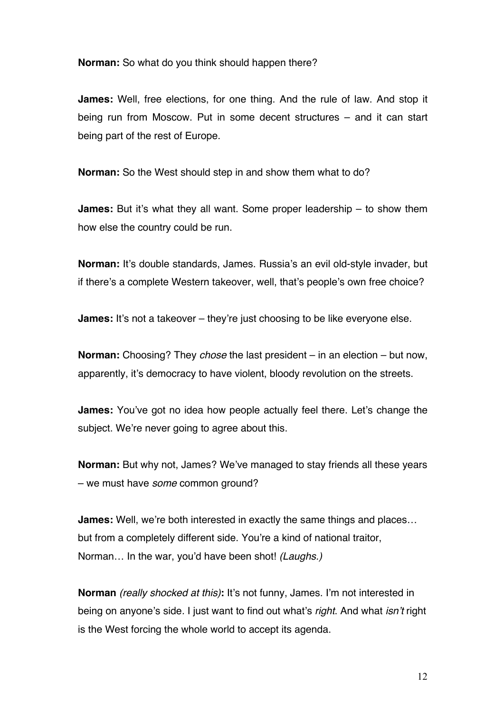**Norman:** So what do you think should happen there?

**James:** Well, free elections, for one thing. And the rule of law. And stop it being run from Moscow. Put in some decent structures – and it can start being part of the rest of Europe.

**Norman:** So the West should step in and show them what to do?

**James:** But it's what they all want. Some proper leadership – to show them how else the country could be run.

**Norman:** It's double standards, James. Russia's an evil old-style invader, but if there's a complete Western takeover, well, that's people's own free choice?

**James:** It's not a takeover – they're just choosing to be like everyone else.

**Norman:** Choosing? They *chose* the last president – in an election – but now, apparently, it's democracy to have violent, bloody revolution on the streets.

**James:** You've got no idea how people actually feel there. Let's change the subject. We're never going to agree about this.

**Norman:** But why not, James? We've managed to stay friends all these years – we must have *some* common ground?

**James:** Well, we're both interested in exactly the same things and places… but from a completely different side. You're a kind of national traitor, Norman… In the war, you'd have been shot! *(Laughs.)*

**Norman** *(really shocked at this)***:** It's not funny, James. I'm not interested in being on anyone's side*.* I just want to find out what's *right*. And what *isn't* right is the West forcing the whole world to accept its agenda.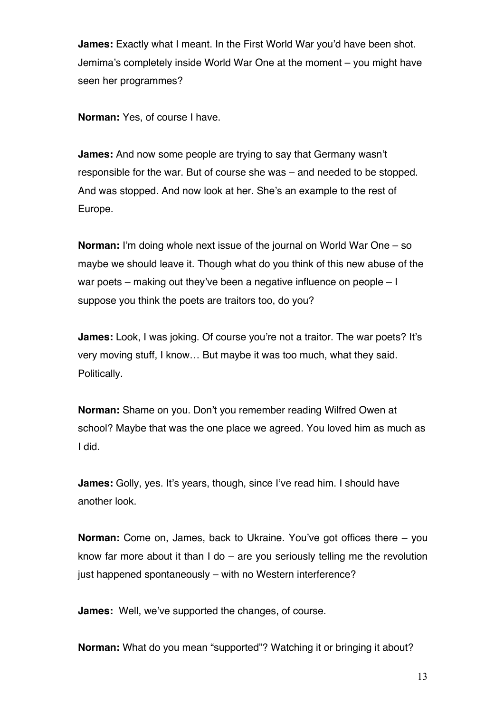**James:** Exactly what I meant. In the First World War you'd have been shot. Jemima's completely inside World War One at the moment – you might have seen her programmes?

**Norman:** Yes, of course I have.

**James:** And now some people are trying to say that Germany wasn't responsible for the war. But of course she was – and needed to be stopped. And was stopped. And now look at her. She's an example to the rest of Europe.

**Norman:** I'm doing whole next issue of the journal on World War One – so maybe we should leave it. Though what do you think of this new abuse of the war poets – making out they've been a negative influence on people – I suppose you think the poets are traitors too, do you?

**James:** Look, I was joking. Of course you're not a traitor. The war poets? It's very moving stuff, I know… But maybe it was too much, what they said. Politically.

**Norman:** Shame on you. Don't you remember reading Wilfred Owen at school? Maybe that was the one place we agreed. You loved him as much as I did.

**James:** Golly, yes. It's years, though, since I've read him. I should have another look.

**Norman:** Come on, James, back to Ukraine. You've got offices there – you know far more about it than I do – are you seriously telling me the revolution just happened spontaneously – with no Western interference?

**James:** Well, we've supported the changes, of course.

**Norman:** What do you mean "supported"? Watching it or bringing it about?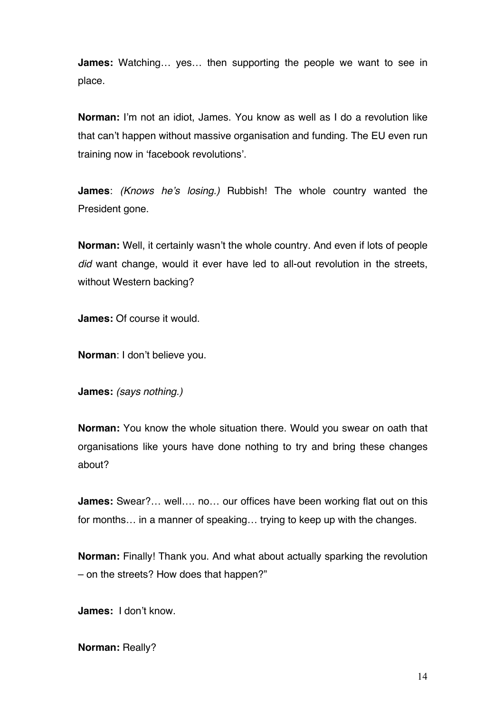**James:** Watching… yes… then supporting the people we want to see in place.

**Norman:** I'm not an idiot, James. You know as well as I do a revolution like that can't happen without massive organisation and funding. The EU even run training now in 'facebook revolutions'.

**James**: *(Knows he's losing.)* Rubbish! The whole country wanted the President gone.

**Norman:** Well, it certainly wasn't the whole country*.* And even if lots of people *did* want change, would it ever have led to all-out revolution in the streets, without Western backing?

**James:** Of course it would.

**Norman**: I don't believe you.

**James:** *(says nothing.)*

**Norman:** You know the whole situation there. Would you swear on oath that organisations like yours have done nothing to try and bring these changes about?

**James:** Swear?… well…. no… our offices have been working flat out on this for months… in a manner of speaking… trying to keep up with the changes.

**Norman:** Finally! Thank you. And what about actually sparking the revolution – on the streets? How does that happen?"

**James:** I don't know.

**Norman:** Really?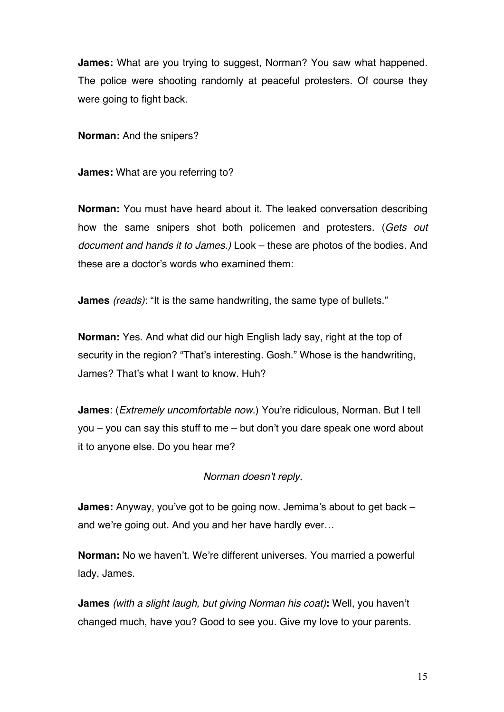**James:** What are you trying to suggest, Norman? You saw what happened. The police were shooting randomly at peaceful protesters. Of course they were going to fight back.

**Norman:** And the snipers?

**James:** What are you referring to?

**Norman:** You must have heard about it. The leaked conversation describing how the same snipers shot both policemen and protesters. (*Gets out document and hands it to James.)* Look – these are photos of the bodies. And these are a doctor's words who examined them:

**James** *(reads)*: "It is the same handwriting, the same type of bullets."

**Norman:** Yes. And what did our high English lady say, right at the top of security in the region? "That's interesting. Gosh." Whose is the handwriting, James? That's what I want to know. Huh?

**James**: (*Extremely uncomfortable now*.) You're ridiculous, Norman. But I tell you – you can say this stuff to me – but don't you dare speak one word about it to anyone else. Do you hear me?

*Norman doesn't reply.*

**James:** Anyway, you've got to be going now. Jemima's about to get back – and we're going out. And you and her have hardly ever…

**Norman:** No we haven't. We're different universes. You married a powerful lady, James.

**James** *(with a slight laugh, but giving Norman his coat)***:** Well, you haven't changed much, have you? Good to see you. Give my love to your parents.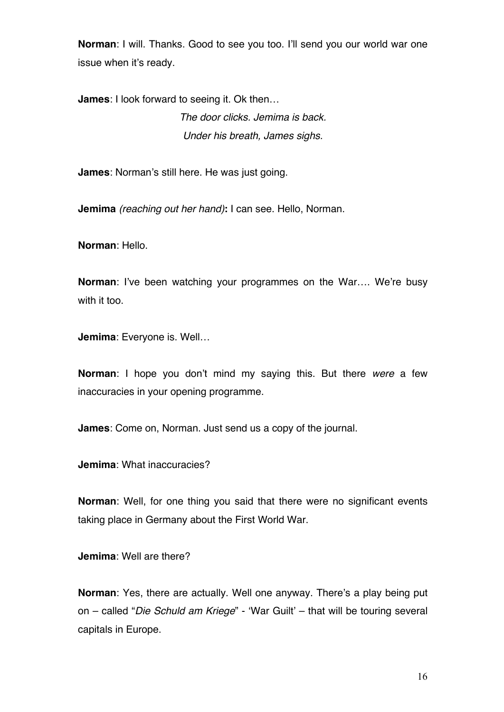**Norman**: I will. Thanks. Good to see you too. I'll send you our world war one issue when it's ready.

**James**: I look forward to seeing it. Ok then… *The door clicks. Jemima is back. Under his breath, James sighs.*

**James**: Norman's still here. He was just going.

**Jemima** *(reaching out her hand)***:** I can see. Hello, Norman.

**Norman**: Hello.

**Norman**: I've been watching your programmes on the War…. We're busy with it too.

**Jemima**: Everyone is. Well…

**Norman**: I hope you don't mind my saying this. But there *were* a few inaccuracies in your opening programme.

**James**: Come on, Norman. Just send us a copy of the journal.

**Jemima**: What inaccuracies?

**Norman**: Well, for one thing you said that there were no significant events taking place in Germany about the First World War.

**Jemima**: Well are there?

**Norman**: Yes, there are actually. Well one anyway. There's a play being put on – called "*Die Schuld am Kriege*" - 'War Guilt' – that will be touring several capitals in Europe.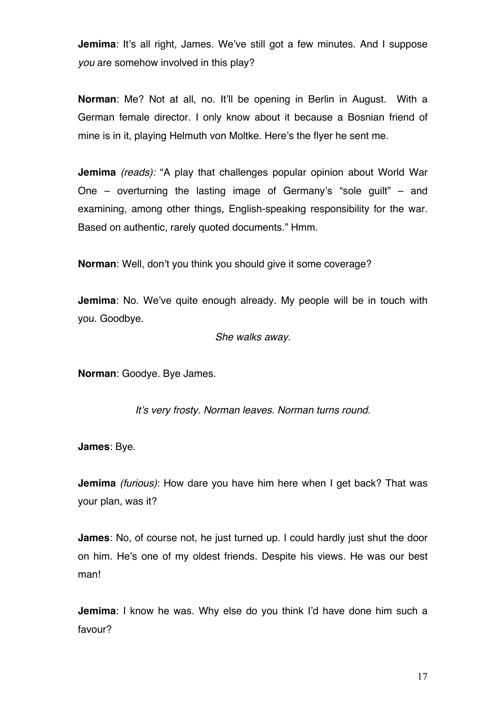**Jemima**: It's all right, James. We've still got a few minutes. And I suppose *you* are somehow involved in this play?

**Norman**: Me? Not at all, no. It'll be opening in Berlin in August. With a German female director. I only know about it because a Bosnian friend of mine is in it, playing Helmuth von Moltke. Here's the flyer he sent me.

**Jemima** *(reads):* "A play that challenges popular opinion about World War One – overturning the lasting image of Germany's "sole guilt" – and examining, among other things, English-speaking responsibility for the war. Based on authentic, rarely quoted documents." Hmm.

**Norman**: Well, don't you think you should give it some coverage?

**Jemima**: No. We've quite enough already. My people will be in touch with you. Goodbye.

*She walks away.*

**Norman**: Goodye. Bye James.

*It's very frosty. Norman leaves. Norman turns round.*

**James**: Bye.

**Jemima** *(furious)*: How dare you have him here when I get back? That was your plan, was it?

**James**: No, of course not, he just turned up. I could hardly just shut the door on him. He's one of my oldest friends. Despite his views. He was our best man!

**Jemima**: I know he was. Why else do you think I'd have done him such a favour?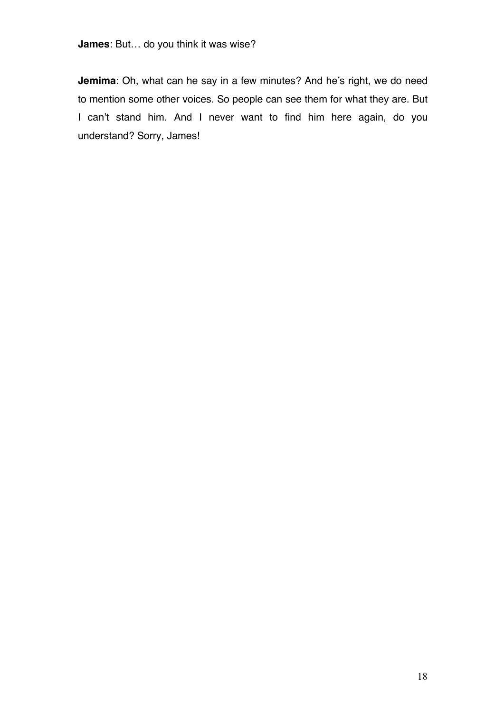**Jemima**: Oh, what can he say in a few minutes? And he's right, we do need to mention some other voices. So people can see them for what they are. But I can't stand him. And I never want to find him here again, do you understand? Sorry, James!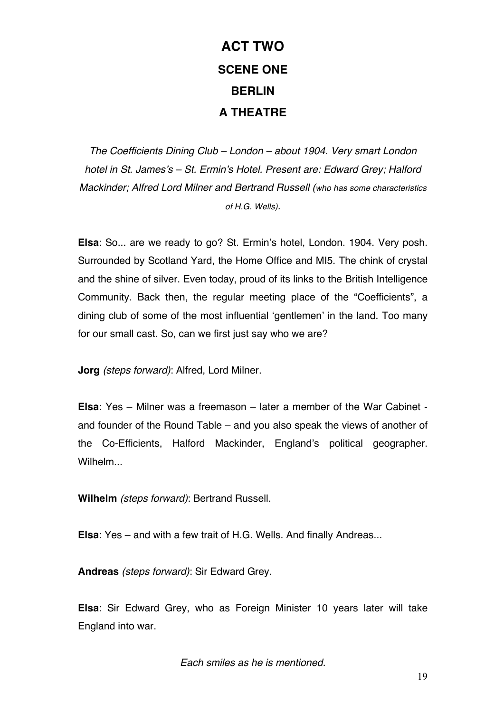# **ACT TWO SCENE ONE BERLIN A THEATRE**

*The Coefficients Dining Club – London – about 1904. Very smart London hotel in St. James's – St. Ermin's Hotel. Present are: Edward Grey; Halford Mackinder; Alfred Lord Milner and Bertrand Russell (who has some characteristics of H.G. Wells).*

**Elsa**: So... are we ready to go? St. Ermin's hotel, London. 1904. Very posh. Surrounded by Scotland Yard, the Home Office and MI5. The chink of crystal and the shine of silver. Even today, proud of its links to the British Intelligence Community. Back then, the regular meeting place of the "Coefficients", a dining club of some of the most influential 'gentlemen' in the land. Too many for our small cast. So, can we first just say who we are?

**Jorg** *(steps forward)*: Alfred, Lord Milner.

**Elsa**: Yes – Milner was a freemason – later a member of the War Cabinet and founder of the Round Table – and you also speak the views of another of the Co-Efficients, Halford Mackinder, England's political geographer. Wilhelm...

**Wilhelm** *(steps forward)*: Bertrand Russell.

**Elsa**: Yes – and with a few trait of H.G. Wells. And finally Andreas...

**Andreas** *(steps forward)*: Sir Edward Grey.

**Elsa**: Sir Edward Grey, who as Foreign Minister 10 years later will take England into war.

*Each smiles as he is mentioned.*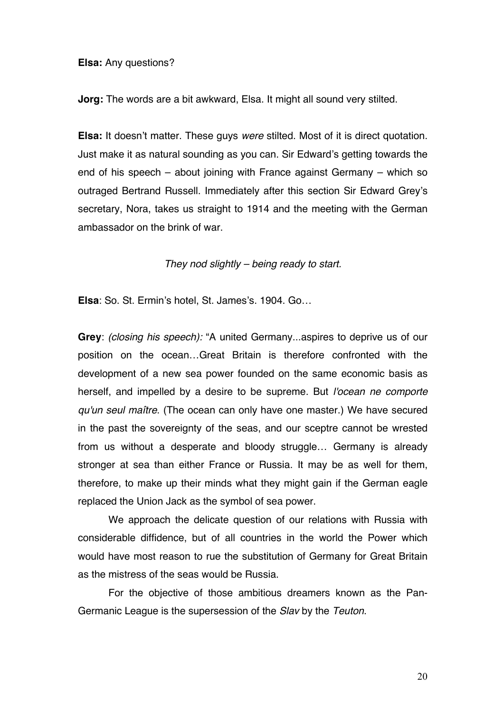**Elsa:** Any questions?

**Jorg:** The words are a bit awkward, Elsa. It might all sound very stilted.

**Elsa:** It doesn't matter. These guys *were* stilted. Most of it is direct quotation. Just make it as natural sounding as you can. Sir Edward's getting towards the end of his speech – about joining with France against Germany – which so outraged Bertrand Russell. Immediately after this section Sir Edward Grey's secretary, Nora, takes us straight to 1914 and the meeting with the German ambassador on the brink of war.

*They nod slightly – being ready to start.*

**Elsa**: So. St. Ermin's hotel, St. James's. 1904. Go…

**Grey**: *(closing his speech):* "A united Germany...aspires to deprive us of our position on the ocean…Great Britain is therefore confronted with the development of a new sea power founded on the same economic basis as herself, and impelled by a desire to be supreme. But *l'ocean ne comporte qu'un seul maître*. (The ocean can only have one master.) We have secured in the past the sovereignty of the seas, and our sceptre cannot be wrested from us without a desperate and bloody struggle… Germany is already stronger at sea than either France or Russia. It may be as well for them, therefore, to make up their minds what they might gain if the German eagle replaced the Union Jack as the symbol of sea power.

We approach the delicate question of our relations with Russia with considerable diffidence, but of all countries in the world the Power which would have most reason to rue the substitution of Germany for Great Britain as the mistress of the seas would be Russia.

For the objective of those ambitious dreamers known as the Pan-Germanic League is the supersession of the *Slav* by the *Teuton*.

20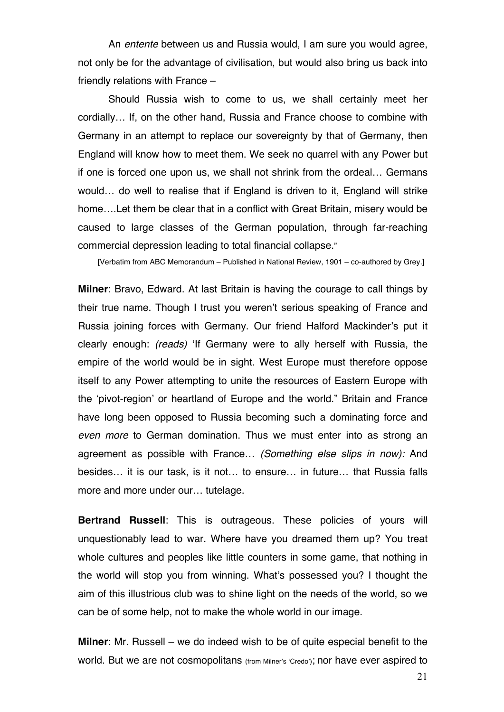An *entente* between us and Russia would, I am sure you would agree, not only be for the advantage of civilisation, but would also bring us back into friendly relations with France –

Should Russia wish to come to us, we shall certainly meet her cordially… If, on the other hand, Russia and France choose to combine with Germany in an attempt to replace our sovereignty by that of Germany, then England will know how to meet them. We seek no quarrel with any Power but if one is forced one upon us, we shall not shrink from the ordeal… Germans would… do well to realise that if England is driven to it, England will strike home….Let them be clear that in a conflict with Great Britain, misery would be caused to large classes of the German population, through far-reaching commercial depression leading to total financial collapse."

[Verbatim from ABC Memorandum – Published in National Review, 1901 – co-authored by Grey.]

**Milner**: Bravo, Edward. At last Britain is having the courage to call things by their true name. Though I trust you weren't serious speaking of France and Russia joining forces with Germany. Our friend Halford Mackinder's put it clearly enough: *(reads)* 'If Germany were to ally herself with Russia, the empire of the world would be in sight. West Europe must therefore oppose itself to any Power attempting to unite the resources of Eastern Europe with the 'pivot-region' or heartland of Europe and the world." Britain and France have long been opposed to Russia becoming such a dominating force and *even more* to German domination. Thus we must enter into as strong an agreement as possible with France… *(Something else slips in now):* And besides… it is our task, is it not… to ensure… in future… that Russia falls more and more under our… tutelage.

**Bertrand Russell**: This is outrageous. These policies of yours will unquestionably lead to war. Where have you dreamed them up? You treat whole cultures and peoples like little counters in some game, that nothing in the world will stop you from winning. What's possessed you? I thought the aim of this illustrious club was to shine light on the needs of the world, so we can be of some help, not to make the whole world in our image.

**Milner**: Mr. Russell – we do indeed wish to be of quite especial benefit to the world. But we are not cosmopolitans (from Milner's 'Credo'); nor have ever aspired to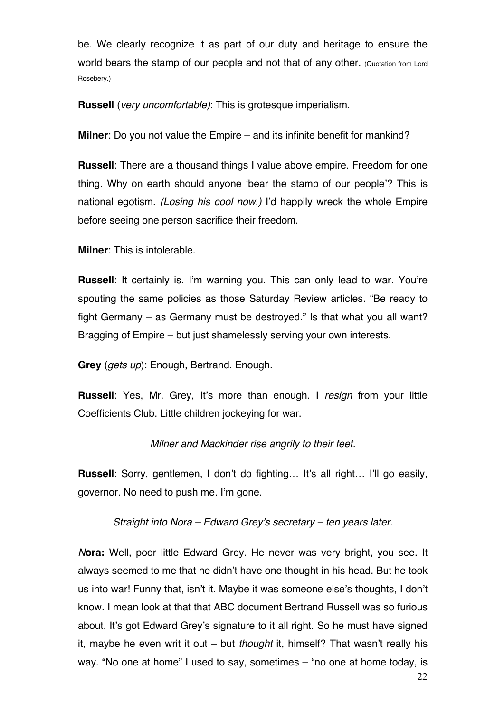be. We clearly recognize it as part of our duty and heritage to ensure the world bears the stamp of our people and not that of any other. (Quotation from Lord Rosebery.)

**Russell** (*very uncomfortable)*: This is grotesque imperialism.

**Milner**: Do you not value the Empire – and its infinite benefit for mankind?

**Russell**: There are a thousand things I value above empire. Freedom for one thing. Why on earth should anyone 'bear the stamp of our people'? This is national egotism. *(Losing his cool now.)* I'd happily wreck the whole Empire before seeing one person sacrifice their freedom.

**Milner**: This is intolerable.

**Russell**: It certainly is. I'm warning you. This can only lead to war. You're spouting the same policies as those Saturday Review articles. "Be ready to fight Germany – as Germany must be destroyed." Is that what you all want? Bragging of Empire – but just shamelessly serving your own interests.

**Grey** (*gets up*): Enough, Bertrand. Enough.

**Russell**: Yes, Mr. Grey, It's more than enough. I *resign* from your little Coefficients Club. Little children jockeying for war.

### *Milner and Mackinder rise angrily to their feet.*

**Russell**: Sorry, gentlemen, I don't do fighting… It's all right… I'll go easily, governor. No need to push me. I'm gone.

*Straight into Nora – Edward Grey's secretary – ten years later.*

*N***ora:** Well, poor little Edward Grey. He never was very bright, you see. It always seemed to me that he didn't have one thought in his head. But he took us into war! Funny that, isn't it. Maybe it was someone else's thoughts, I don't know. I mean look at that that ABC document Bertrand Russell was so furious about. It's got Edward Grey's signature to it all right. So he must have signed it, maybe he even writ it out – but *thought* it, himself? That wasn't really his way. "No one at home" I used to say, sometimes – "no one at home today, is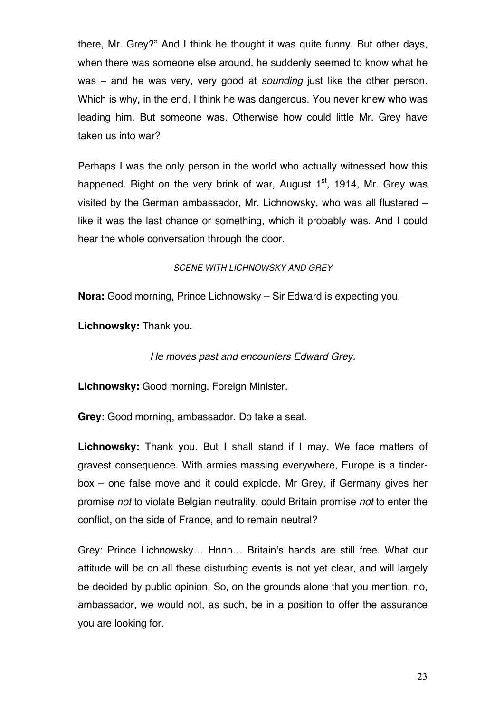there, Mr. Grey?" And I think he thought it was quite funny. But other days, when there was someone else around, he suddenly seemed to know what he was – and he was very, very good at *sounding* just like the other person. Which is why, in the end, I think he was dangerous. You never knew who was leading him. But someone was. Otherwise how could little Mr. Grey have taken us into war?

Perhaps I was the only person in the world who actually witnessed how this happened. Right on the very brink of war, August  $1<sup>st</sup>$ , 1914, Mr. Grey was visited by the German ambassador, Mr. Lichnowsky, who was all flustered – like it was the last chance or something, which it probably was. And I could hear the whole conversation through the door.

#### *SCENE WITH LICHNOWSKY AND GREY*

**Nora:** Good morning, Prince Lichnowsky – Sir Edward is expecting you.

**Lichnowsky:** Thank you.

### *He moves past and encounters Edward Grey.*

**Lichnowsky:** Good morning, Foreign Minister.

**Grey:** Good morning, ambassador. Do take a seat.

**Lichnowsky:** Thank you. But I shall stand if I may. We face matters of gravest consequence. With armies massing everywhere, Europe is a tinderbox – one false move and it could explode. Mr Grey, if Germany gives her promise *not* to violate Belgian neutrality, could Britain promise *not* to enter the conflict, on the side of France, and to remain neutral?

Grey: Prince Lichnowsky… Hnnn… Britain's hands are still free. What our attitude will be on all these disturbing events is not yet clear, and will largely be decided by public opinion. So, on the grounds alone that you mention, no, ambassador, we would not, as such, be in a position to offer the assurance you are looking for.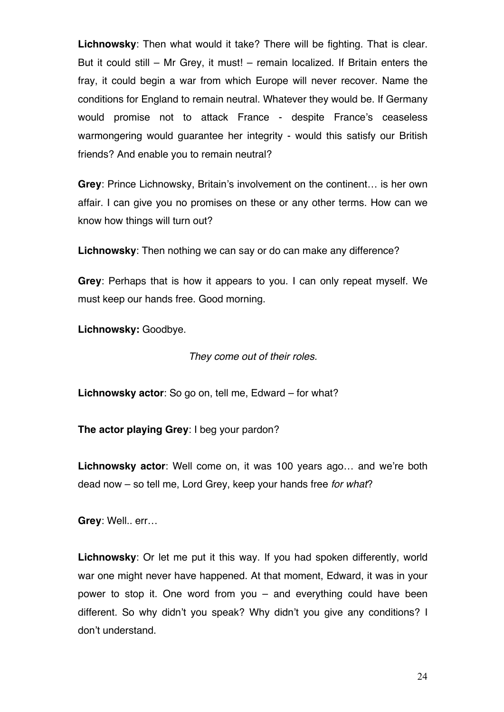**Lichnowsky**: Then what would it take? There will be fighting. That is clear. But it could still – Mr Grey, it must! – remain localized. If Britain enters the fray, it could begin a war from which Europe will never recover. Name the conditions for England to remain neutral. Whatever they would be. If Germany would promise not to attack France - despite France's ceaseless warmongering would guarantee her integrity - would this satisfy our British friends? And enable you to remain neutral?

**Grey**: Prince Lichnowsky, Britain's involvement on the continent… is her own affair. I can give you no promises on these or any other terms. How can we know how things will turn out?

**Lichnowsky**: Then nothing we can say or do can make any difference?

**Grey**: Perhaps that is how it appears to you. I can only repeat myself. We must keep our hands free. Good morning.

**Lichnowsky:** Goodbye.

*They come out of their roles.*

**Lichnowsky actor**: So go on, tell me, Edward – for what?

**The actor playing Grey**: I beg your pardon?

**Lichnowsky actor**: Well come on, it was 100 years ago… and we're both dead now – so tell me, Lord Grey, keep your hands free *for what*?

**Grey**: Well.. err…

**Lichnowsky**: Or let me put it this way. If you had spoken differently, world war one might never have happened. At that moment, Edward, it was in your power to stop it. One word from you – and everything could have been different. So why didn't you speak? Why didn't you give any conditions? I don't understand.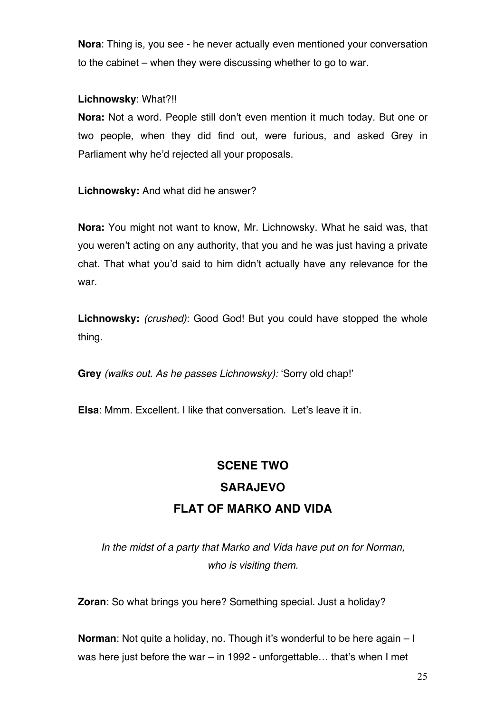**Nora**: Thing is, you see - he never actually even mentioned your conversation to the cabinet – when they were discussing whether to go to war.

### **Lichnowsky**: What?!!

**Nora:** Not a word. People still don't even mention it much today. But one or two people, when they did find out, were furious, and asked Grey in Parliament why he'd rejected all your proposals.

**Lichnowsky:** And what did he answer?

**Nora:** You might not want to know, Mr. Lichnowsky. What he said was, that you weren't acting on any authority, that you and he was just having a private chat. That what you'd said to him didn't actually have any relevance for the war.

**Lichnowsky:** *(crushed)*: Good God! But you could have stopped the whole thing.

**Grey** *(walks out. As he passes Lichnowsky):* 'Sorry old chap!'

**Elsa**: Mmm. Excellent. I like that conversation. Let's leave it in.

## **SCENE TWO**

## **SARAJEVO FLAT OF MARKO AND VIDA**

*In the midst of a party that Marko and Vida have put on for Norman, who is visiting them.*

**Zoran**: So what brings you here? Something special. Just a holiday?

**Norman**: Not quite a holiday, no. Though it's wonderful to be here again – I was here just before the war – in 1992 - unforgettable… that's when I met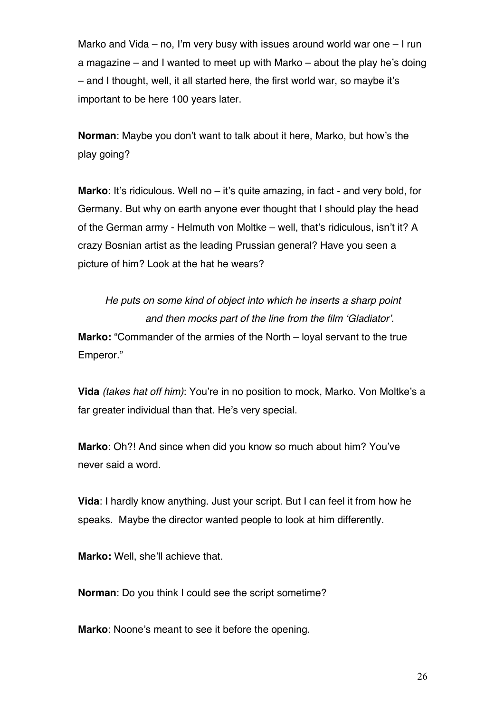Marko and Vida – no, I'm very busy with issues around world war one – I run a magazine – and I wanted to meet up with Marko – about the play he's doing – and I thought, well, it all started here, the first world war, so maybe it's important to be here 100 years later.

**Norman**: Maybe you don't want to talk about it here, Marko, but how's the play going?

**Marko:** It's ridiculous. Well no – it's quite amazing, in fact - and very bold, for Germany. But why on earth anyone ever thought that I should play the head of the German army - Helmuth von Moltke – well, that's ridiculous, isn't it? A crazy Bosnian artist as the leading Prussian general? Have you seen a picture of him? Look at the hat he wears?

*He puts on some kind of object into which he inserts a sharp point and then mocks part of the line from the film 'Gladiator'.* **Marko:** "Commander of the armies of the North – loyal servant to the true Emperor."

**Vida** *(takes hat off him)*: You're in no position to mock, Marko. Von Moltke's a far greater individual than that. He's very special.

**Marko**: Oh?! And since when did you know so much about him? You've never said a word.

**Vida**: I hardly know anything. Just your script. But I can feel it from how he speaks. Maybe the director wanted people to look at him differently.

**Marko:** Well, she'll achieve that.

**Norman**: Do you think I could see the script sometime?

**Marko**: Noone's meant to see it before the opening.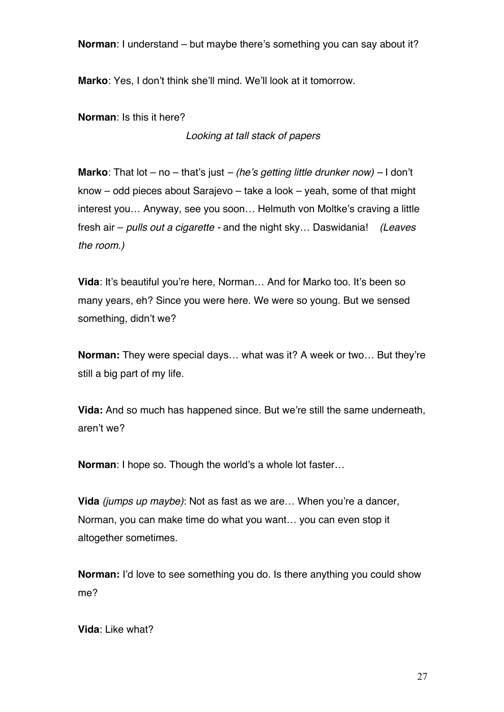**Norman**: I understand – but maybe there's something you can say about it?

**Marko**: Yes, I don't think she'll mind. We'll look at it tomorrow.

**Norman**: Is this it here?

*Looking at tall stack of papers*

**Marko**: That lot – no – that's just *– (he's getting little drunker now) –* I don't know – odd pieces about Sarajevo – take a look – yeah, some of that might interest you… Anyway, see you soon… Helmuth von Moltke's craving a little fresh air – *pulls out a cigarette -* and the night sky… Daswidania! *(Leaves the room.)*

**Vida**: It's beautiful you're here, Norman… And for Marko too. It's been so many years, eh? Since you were here. We were so young. But we sensed something, didn't we?

**Norman:** They were special days… what was it? A week or two… But they're still a big part of my life.

**Vida:** And so much has happened since. But we're still the same underneath, aren't we?

**Norman**: I hope so. Though the world's a whole lot faster…

**Vida** *(jumps up maybe)*: Not as fast as we are… When you're a dancer, Norman, you can make time do what you want… you can even stop it altogether sometimes.

**Norman:** I'd love to see something you do. Is there anything you could show me?

**Vida**: Like what?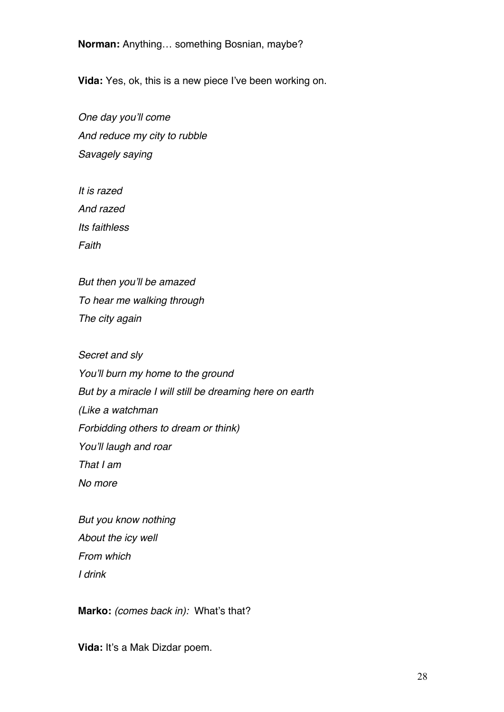**Norman:** Anything… something Bosnian, maybe?

**Vida:** Yes, ok, this is a new piece I've been working on.

*One day you'll come And reduce my city to rubble Savagely saying* 

*It is razed And razed Its faithless Faith*

*But then you'll be amazed To hear me walking through The city again*

*Secret and sly You'll burn my home to the ground But by a miracle I will still be dreaming here on earth (Like a watchman Forbidding others to dream or think) You'll laugh and roar That I am No more*

*But you know nothing About the icy well From which I drink*

**Marko:** *(comes back in):* What's that?

**Vida:** It's a Mak Dizdar poem.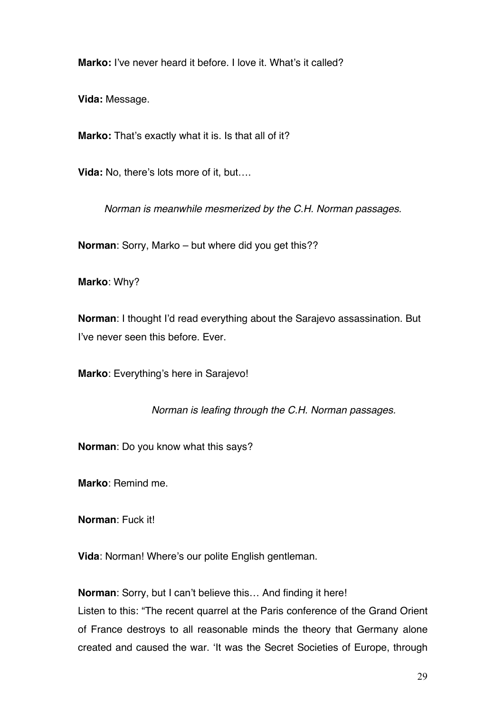**Marko:** I've never heard it before. I love it. What's it called?

**Vida:** Message.

Marko: That's exactly what it is. Is that all of it?

**Vida:** No, there's lots more of it, but….

*Norman is meanwhile mesmerized by the C.H. Norman passages.*

**Norman**: Sorry, Marko – but where did you get this??

**Marko**: Why?

**Norman**: I thought I'd read everything about the Sarajevo assassination. But I've never seen this before. Ever.

**Marko**: Everything's here in Sarajevo!

*Norman is leafing through the C.H. Norman passages.*

**Norman**: Do you know what this says?

**Marko**: Remind me.

**Norman**: Fuck it!

**Vida**: Norman! Where's our polite English gentleman.

**Norman**: Sorry, but I can't believe this… And finding it here! Listen to this: "The recent quarrel at the Paris conference of the Grand Orient of France destroys to all reasonable minds the theory that Germany alone created and caused the war. 'It was the Secret Societies of Europe, through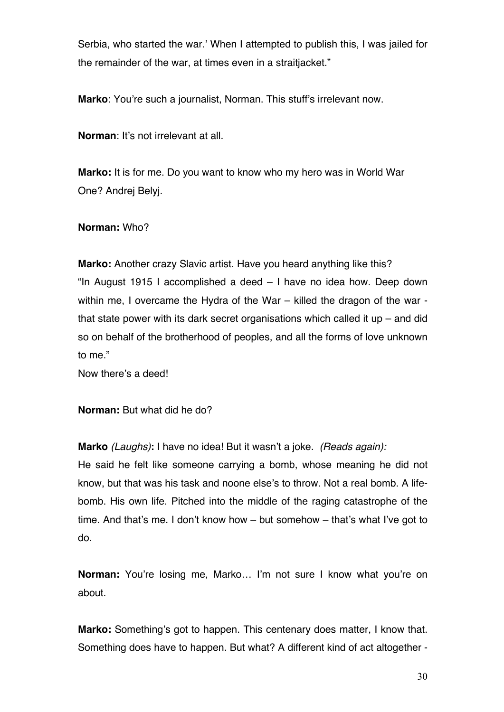Serbia, who started the war.' When I attempted to publish this, I was jailed for the remainder of the war, at times even in a straitjacket."

**Marko**: You're such a journalist, Norman. This stuff's irrelevant now.

**Norman**: It's not irrelevant at all.

**Marko:** It is for me. Do you want to know who my hero was in World War One? Andrej Belyj.

### **Norman:** Who?

**Marko:** Another crazy Slavic artist. Have you heard anything like this? "In August 1915 I accomplished a deed – I have no idea how. Deep down within me, I overcame the Hydra of the War – killed the dragon of the war that state power with its dark secret organisations which called it up – and did so on behalf of the brotherhood of peoples, and all the forms of love unknown to me."

Now there's a deed!

**Norman:** But what did he do?

**Marko** *(Laughs)***:** I have no idea! But it wasn't a joke. *(Reads again):*

He said he felt like someone carrying a bomb, whose meaning he did not know, but that was his task and noone else's to throw. Not a real bomb. A lifebomb. His own life. Pitched into the middle of the raging catastrophe of the time. And that's me. I don't know how – but somehow – that's what I've got to do.

**Norman:** You're losing me, Marko... I'm not sure I know what you're on about.

**Marko:** Something's got to happen. This centenary does matter, I know that. Something does have to happen. But what? A different kind of act altogether -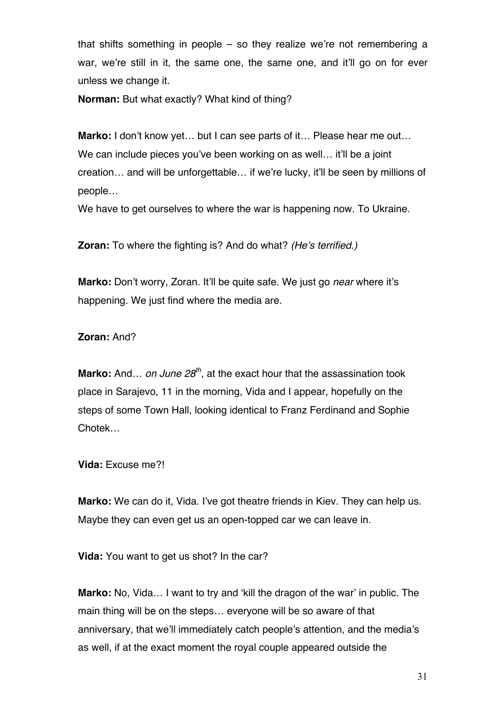that shifts something in people – so they realize we're not remembering a war, we're still in it, the same one, the same one, and it'll go on for ever unless we change it.

**Norman:** But what exactly? What kind of thing?

**Marko:** I don't know yet... but I can see parts of it... Please hear me out... We can include pieces you've been working on as well... it'll be a joint creation… and will be unforgettable… if we're lucky, it'll be seen by millions of people…

We have to get ourselves to where the war is happening now. To Ukraine.

**Zoran:** To where the fighting is? And do what? *(He's terrified.)*

**Marko:** Don't worry, Zoran. It'll be quite safe. We just go *near* where it's happening. We just find where the media are.

### **Zoran:** And?

**Marko:** And... *on June 28<sup>th</sup>*, at the exact hour that the assassination took place in Sarajevo, 11 in the morning, Vida and I appear, hopefully on the steps of some Town Hall, looking identical to Franz Ferdinand and Sophie Chotek…

**Vida:** Excuse me?!

**Marko:** We can do it, Vida. I've got theatre friends in Kiev. They can help us. Maybe they can even get us an open-topped car we can leave in.

**Vida:** You want to get us shot? In the car?

**Marko:** No, Vida… I want to try and 'kill the dragon of the war' in public. The main thing will be on the steps… everyone will be so aware of that anniversary, that we'll immediately catch people's attention, and the media's as well, if at the exact moment the royal couple appeared outside the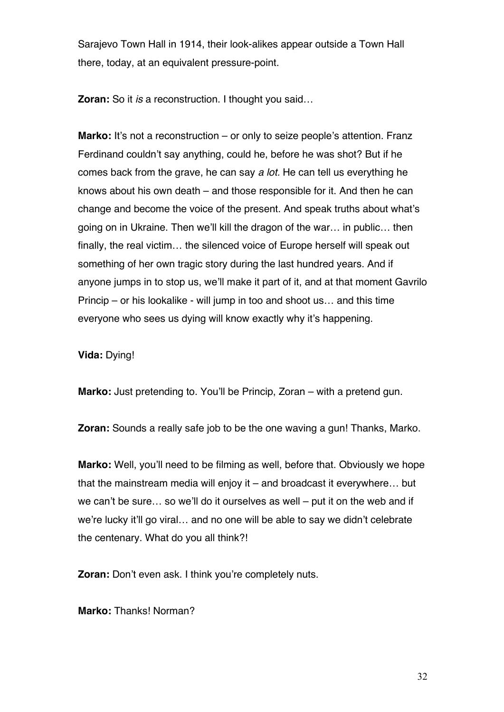Sarajevo Town Hall in 1914, their look-alikes appear outside a Town Hall there, today, at an equivalent pressure-point.

**Zoran:** So it *is* a reconstruction. I thought you said…

**Marko:** It's not a reconstruction – or only to seize people's attention. Franz Ferdinand couldn't say anything, could he, before he was shot? But if he comes back from the grave, he can say *a lot.* He can tell us everything he knows about his own death – and those responsible for it. And then he can change and become the voice of the present. And speak truths about what's going on in Ukraine. Then we'll kill the dragon of the war… in public… then finally, the real victim… the silenced voice of Europe herself will speak out something of her own tragic story during the last hundred years. And if anyone jumps in to stop us, we'll make it part of it, and at that moment Gavrilo Princip – or his lookalike - will jump in too and shoot us… and this time everyone who sees us dying will know exactly why it's happening.

**Vida:** Dying!

**Marko:** Just pretending to. You'll be Princip, Zoran – with a pretend gun.

**Zoran:** Sounds a really safe job to be the one waving a gun! Thanks, Marko.

**Marko:** Well, you'll need to be filming as well, before that. Obviously we hope that the mainstream media will enjoy it – and broadcast it everywhere… but we can't be sure… so we'll do it ourselves as well – put it on the web and if we're lucky it'll go viral… and no one will be able to say we didn't celebrate the centenary. What do you all think?!

**Zoran:** Don't even ask. I think you're completely nuts.

**Marko:** Thanks! Norman?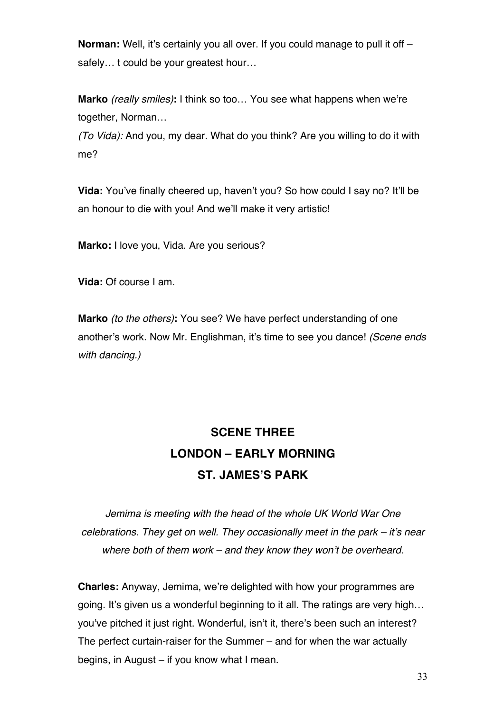**Norman:** Well, it's certainly you all over. If you could manage to pull it off – safely... t could be your greatest hour...

**Marko** *(really smiles)***:** I think so too… You see what happens when we're together, Norman…

*(To Vida):* And you, my dear. What do you think? Are you willing to do it with me?

**Vida:** You've finally cheered up, haven't you? So how could I say no? It'll be an honour to die with you! And we'll make it very artistic!

**Marko:** I love you, Vida. Are you serious?

**Vida:** Of course I am.

**Marko** *(to the others)***:** You see? We have perfect understanding of one another's work. Now Mr. Englishman, it's time to see you dance! *(Scene ends with dancing.)*

# **SCENE THREE LONDON – EARLY MORNING ST. JAMES'S PARK**

*Jemima is meeting with the head of the whole UK World War One celebrations. They get on well. They occasionally meet in the park – it's near where both of them work – and they know they won't be overheard.*

**Charles:** Anyway, Jemima, we're delighted with how your programmes are going. It's given us a wonderful beginning to it all. The ratings are very high… you've pitched it just right. Wonderful, isn't it, there's been such an interest? The perfect curtain-raiser for the Summer – and for when the war actually begins, in August – if you know what I mean.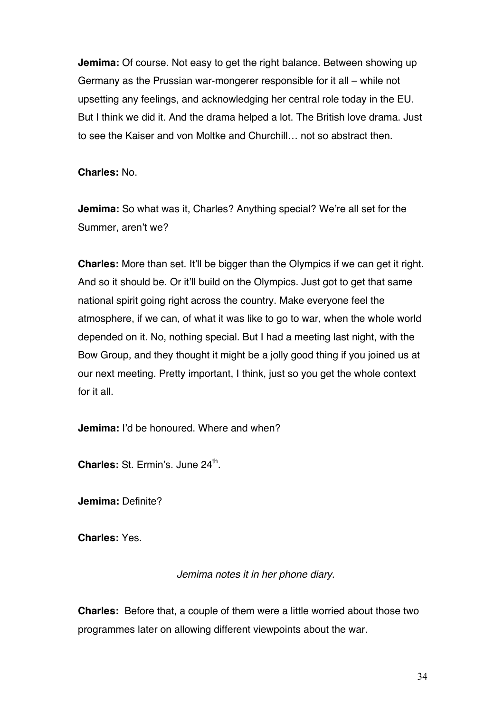**Jemima:** Of course. Not easy to get the right balance. Between showing up Germany as the Prussian war-mongerer responsible for it all – while not upsetting any feelings, and acknowledging her central role today in the EU. But I think we did it. And the drama helped a lot. The British love drama. Just to see the Kaiser and von Moltke and Churchill… not so abstract then.

**Charles:** No.

**Jemima:** So what was it, Charles? Anything special? We're all set for the Summer, aren't we?

**Charles:** More than set. It'll be bigger than the Olympics if we can get it right. And so it should be. Or it'll build on the Olympics. Just got to get that same national spirit going right across the country. Make everyone feel the atmosphere, if we can, of what it was like to go to war, when the whole world depended on it. No, nothing special. But I had a meeting last night, with the Bow Group, and they thought it might be a jolly good thing if you joined us at our next meeting. Pretty important, I think, just so you get the whole context for it all.

**Jemima:** I'd be honoured. Where and when?

**Charles: St. Ermin's. June 24<sup>th</sup>.** 

**Jemima:** Definite?

**Charles:** Yes.

### *Jemima notes it in her phone diary.*

**Charles:** Before that, a couple of them were a little worried about those two programmes later on allowing different viewpoints about the war.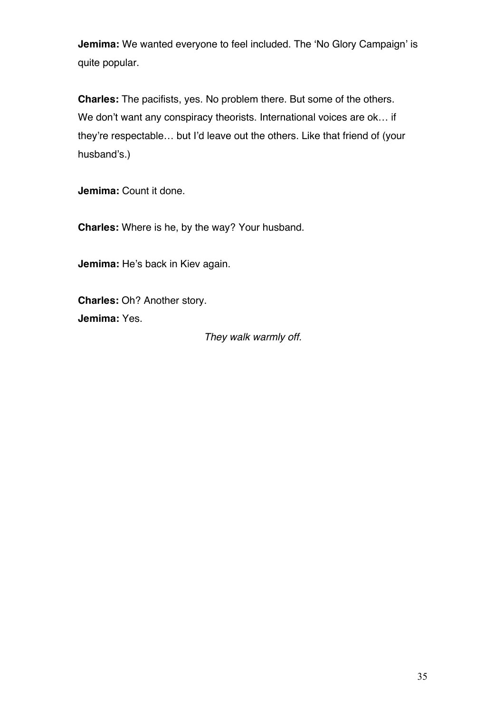**Jemima:** We wanted everyone to feel included. The 'No Glory Campaign' is quite popular.

**Charles:** The pacifists, yes. No problem there. But some of the others. We don't want any conspiracy theorists. International voices are ok… if they're respectable… but I'd leave out the others. Like that friend of (your husband's.)

**Jemima:** Count it done.

**Charles:** Where is he, by the way? Your husband.

**Jemima:** He's back in Kiev again.

**Charles:** Oh? Another story. **Jemima:** Yes.

*They walk warmly off.*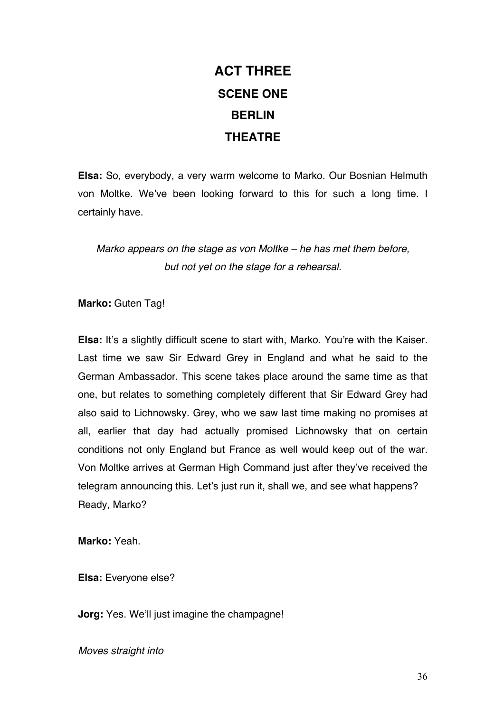# **ACT THREE SCENE ONE BERLIN THEATRE**

**Elsa:** So, everybody, a very warm welcome to Marko. Our Bosnian Helmuth von Moltke. We've been looking forward to this for such a long time. I certainly have.

*Marko appears on the stage as von Moltke – he has met them before, but not yet on the stage for a rehearsal.*

**Marko: Guten Tag!** 

**Elsa:** It's a slightly difficult scene to start with, Marko. You're with the Kaiser. Last time we saw Sir Edward Grey in England and what he said to the German Ambassador. This scene takes place around the same time as that one, but relates to something completely different that Sir Edward Grey had also said to Lichnowsky. Grey, who we saw last time making no promises at all, earlier that day had actually promised Lichnowsky that on certain conditions not only England but France as well would keep out of the war. Von Moltke arrives at German High Command just after they've received the telegram announcing this. Let's just run it, shall we, and see what happens? Ready, Marko?

**Marko:** Yeah.

**Elsa:** Everyone else?

**Jorg:** Yes. We'll just imagine the champagne!

*Moves straight into*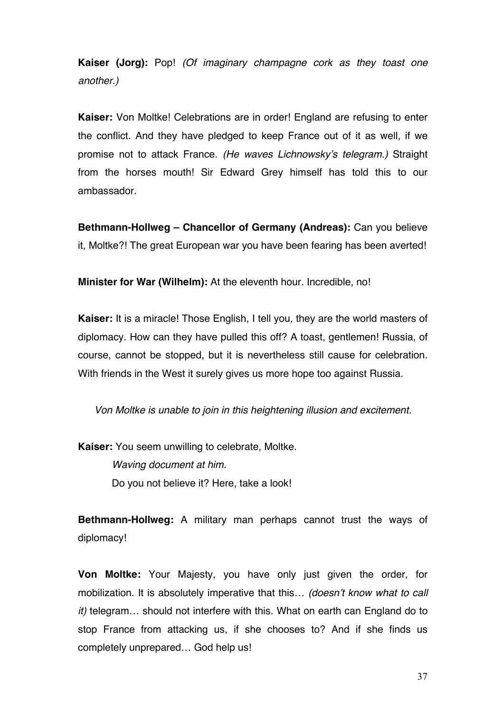**Kaiser (Jorg):** Pop! *(Of imaginary champagne cork as they toast one another.)*

**Kaiser:** Von Moltke! Celebrations are in order! England are refusing to enter the conflict. And they have pledged to keep France out of it as well, if we promise not to attack France. *(He waves Lichnowsky's telegram.)* Straight from the horses mouth! Sir Edward Grey himself has told this to our ambassador.

**Bethmann-Hollweg – Chancellor of Germany (Andreas):** Can you believe it, Moltke?! The great European war you have been fearing has been averted!

**Minister for War (Wilhelm):** At the eleventh hour. Incredible, no!

**Kaiser:** It is a miracle! Those English, I tell you, they are the world masters of diplomacy. How can they have pulled this off? A toast, gentlemen! Russia, of course, cannot be stopped, but it is nevertheless still cause for celebration. With friends in the West it surely gives us more hope too against Russia.

*Von Moltke is unable to join in this heightening illusion and excitement.*

**Kaiser:** You seem unwilling to celebrate, Moltke.

 *Waving document at him.* Do you not believe it? Here, take a look!

**Bethmann-Hollweg:** A military man perhaps cannot trust the ways of diplomacy!

**Von Moltke:** Your Majesty, you have only just given the order, for mobilization. It is absolutely imperative that this… *(doesn't know what to call it)* telegram… should not interfere with this. What on earth can England do to stop France from attacking us, if she chooses to? And if she finds us completely unprepared… God help us!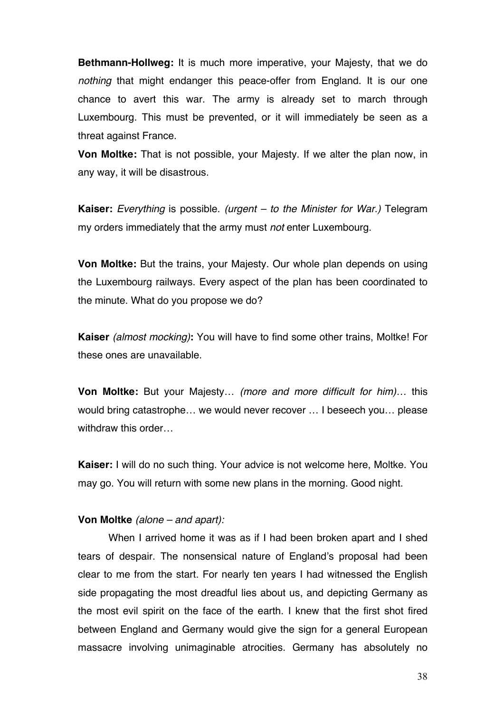**Bethmann-Hollweg:** It is much more imperative, your Majesty, that we do *nothing* that might endanger this peace-offer from England. It is our one chance to avert this war. The army is already set to march through Luxembourg. This must be prevented, or it will immediately be seen as a threat against France.

**Von Moltke:** That is not possible, your Majesty. If we alter the plan now, in any way, it will be disastrous.

**Kaiser:** *Everything* is possible. *(urgent – to the Minister for War.)* Telegram my orders immediately that the army must *not* enter Luxembourg.

**Von Moltke:** But the trains, your Majesty. Our whole plan depends on using the Luxembourg railways. Every aspect of the plan has been coordinated to the minute. What do you propose we do?

**Kaiser** *(almost mocking)***:** You will have to find some other trains, Moltke! For these ones are unavailable.

**Von Moltke:** But your Majesty… *(more and more difficult for him)…* this would bring catastrophe… we would never recover … I beseech you… please withdraw this order…

**Kaiser:** I will do no such thing. Your advice is not welcome here, Moltke. You may go. You will return with some new plans in the morning. Good night.

### **Von Moltke** *(alone – and apart):*

When I arrived home it was as if I had been broken apart and I shed tears of despair. The nonsensical nature of England's proposal had been clear to me from the start. For nearly ten years I had witnessed the English side propagating the most dreadful lies about us, and depicting Germany as the most evil spirit on the face of the earth. I knew that the first shot fired between England and Germany would give the sign for a general European massacre involving unimaginable atrocities. Germany has absolutely no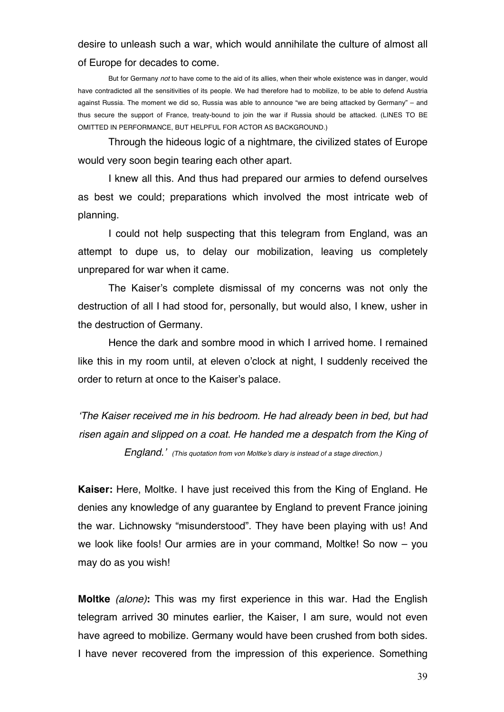## desire to unleash such a war, which would annihilate the culture of almost all of Europe for decades to come.

But for Germany *not* to have come to the aid of its allies, when their whole existence was in danger, would have contradicted all the sensitivities of its people. We had therefore had to mobilize, to be able to defend Austria against Russia. The moment we did so, Russia was able to announce "we are being attacked by Germany" – and thus secure the support of France, treaty-bound to join the war if Russia should be attacked. (LINES TO BE OMITTED IN PERFORMANCE, BUT HELPFUL FOR ACTOR AS BACKGROUND.)

Through the hideous logic of a nightmare, the civilized states of Europe would very soon begin tearing each other apart.

I knew all this. And thus had prepared our armies to defend ourselves as best we could; preparations which involved the most intricate web of planning.

I could not help suspecting that this telegram from England, was an attempt to dupe us, to delay our mobilization, leaving us completely unprepared for war when it came.

The Kaiser's complete dismissal of my concerns was not only the destruction of all I had stood for, personally, but would also, I knew, usher in the destruction of Germany.

Hence the dark and sombre mood in which I arrived home. I remained like this in my room until, at eleven o'clock at night, I suddenly received the order to return at once to the Kaiser's palace.

*'The Kaiser received me in his bedroom. He had already been in bed, but had risen again and slipped on a coat. He handed me a despatch from the King of England.' (This quotation from von Moltke's diary is instead of a stage direction.)*

**Kaiser:** Here, Moltke. I have just received this from the King of England. He denies any knowledge of any guarantee by England to prevent France joining the war. Lichnowsky "misunderstood". They have been playing with us! And we look like fools! Our armies are in your command, Moltke! So now – you may do as you wish!

**Moltke** *(alone)***:** This was my first experience in this war. Had the English telegram arrived 30 minutes earlier, the Kaiser, I am sure, would not even have agreed to mobilize. Germany would have been crushed from both sides. I have never recovered from the impression of this experience. Something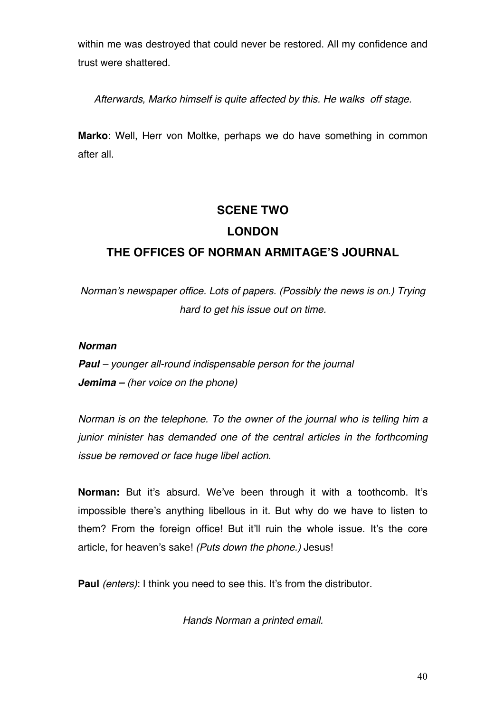within me was destroyed that could never be restored. All my confidence and trust were shattered.

*Afterwards, Marko himself is quite affected by this. He walks off stage.* 

**Marko**: Well, Herr von Moltke, perhaps we do have something in common after all.

## **SCENE TWO LONDON**

## **THE OFFICES OF NORMAN ARMITAGE'S JOURNAL**

*Norman's newspaper office. Lots of papers. (Possibly the news is on.) Trying hard to get his issue out on time.*

### *Norman*

*Paul – younger all-round indispensable person for the journal Jemima – (her voice on the phone)*

*Norman is on the telephone. To the owner of the journal who is telling him a junior minister has demanded one of the central articles in the forthcoming issue be removed or face huge libel action.* 

**Norman:** But it's absurd. We've been through it with a toothcomb. It's impossible there's anything libellous in it. But why do we have to listen to them? From the foreign office! But it'll ruin the whole issue. It's the core article, for heaven's sake! *(Puts down the phone.)* Jesus!

**Paul** *(enters)*: I think you need to see this. It's from the distributor.

*Hands Norman a printed email.*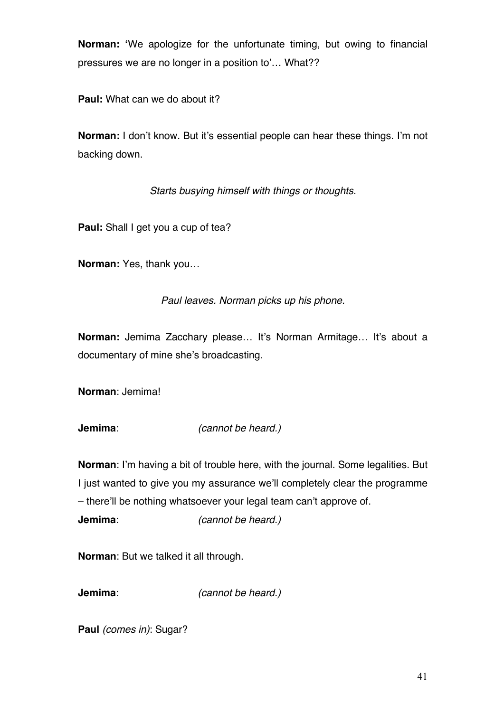**Norman: '**We apologize for the unfortunate timing, but owing to financial pressures we are no longer in a position to'… What??

**Paul:** What can we do about it?

**Norman:** I don't know. But it's essential people can hear these things. I'm not backing down.

*Starts busying himself with things or thoughts.*

**Paul:** Shall I get you a cup of tea?

**Norman:** Yes, thank you…

*Paul leaves. Norman picks up his phone.*

**Norman:** Jemima Zacchary please... It's Norman Armitage... It's about a documentary of mine she's broadcasting.

**Norman**: Jemima!

**Jemima**: *(cannot be heard.)*

**Norman**: I'm having a bit of trouble here, with the journal. Some legalities. But I just wanted to give you my assurance we'll completely clear the programme – there'll be nothing whatsoever your legal team can't approve of. **Jemima**: *(cannot be heard.)*

**Norman**: But we talked it all through.

**Jemima**: *(cannot be heard.)*

**Paul** *(comes in)*: Sugar?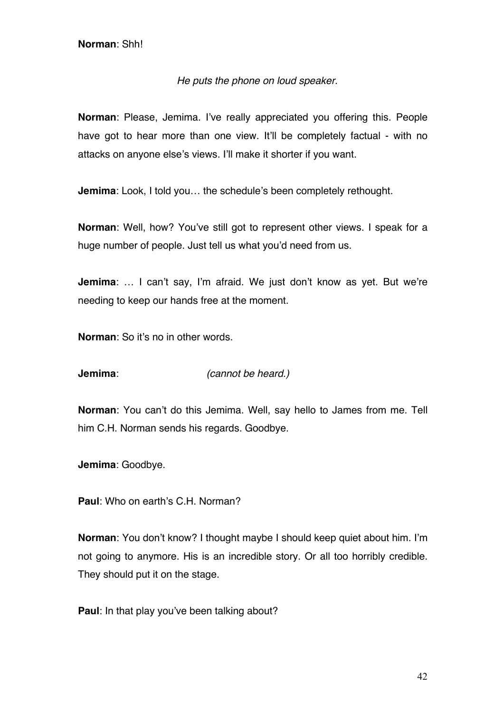### *He puts the phone on loud speaker.*

**Norman**: Please, Jemima. I've really appreciated you offering this. People have got to hear more than one view. It'll be completely factual - with no attacks on anyone else's views. I'll make it shorter if you want.

**Jemima**: Look, I told you... the schedule's been completely rethought.

**Norman**: Well, how? You've still got to represent other views. I speak for a huge number of people. Just tell us what you'd need from us.

**Jemima**: … I can't say, I'm afraid. We just don't know as yet. But we're needing to keep our hands free at the moment.

**Norman**: So it's no in other words.

**Jemima**: *(cannot be heard.)*

**Norman**: You can't do this Jemima. Well, say hello to James from me. Tell him C.H. Norman sends his regards. Goodbye.

**Jemima**: Goodbye.

**Paul**: Who on earth's C.H. Norman?

**Norman**: You don't know? I thought maybe I should keep quiet about him. I'm not going to anymore. His is an incredible story. Or all too horribly credible. They should put it on the stage.

**Paul**: In that play you've been talking about?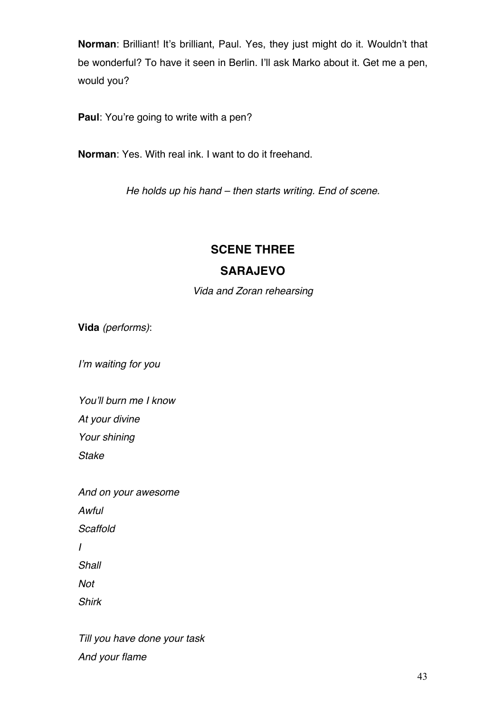**Norman**: Brilliant! It's brilliant, Paul. Yes, they just might do it. Wouldn't that be wonderful? To have it seen in Berlin. I'll ask Marko about it. Get me a pen, would you?

**Paul**: You're going to write with a pen?

**Norman**: Yes. With real ink. I want to do it freehand.

*He holds up his hand – then starts writing. End of scene.*

# **SCENE THREE**

## **SARAJEVO**

*Vida and Zoran rehearsing*

**Vida** *(performs)*:

*I'm waiting for you*

*You'll burn me I know At your divine*

*Your shining*

*Stake*

*And on your awesome Awful Scaffold I Shall Not Shirk*

*Till you have done your task And your flame*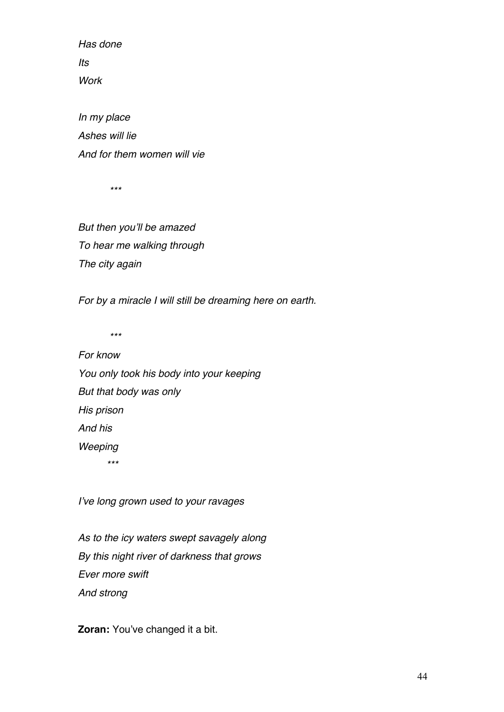*Has done Its Work*

*In my place Ashes will lie And for them women will vie*

 *\*\*\**

*But then you'll be amazed To hear me walking through The city again*

*For by a miracle I will still be dreaming here on earth.*

 *\*\*\**

*For know You only took his body into your keeping But that body was only His prison And his Weeping \*\*\**

*I've long grown used to your ravages*

*As to the icy waters swept savagely along By this night river of darkness that grows Ever more swift And strong*

**Zoran:** You've changed it a bit.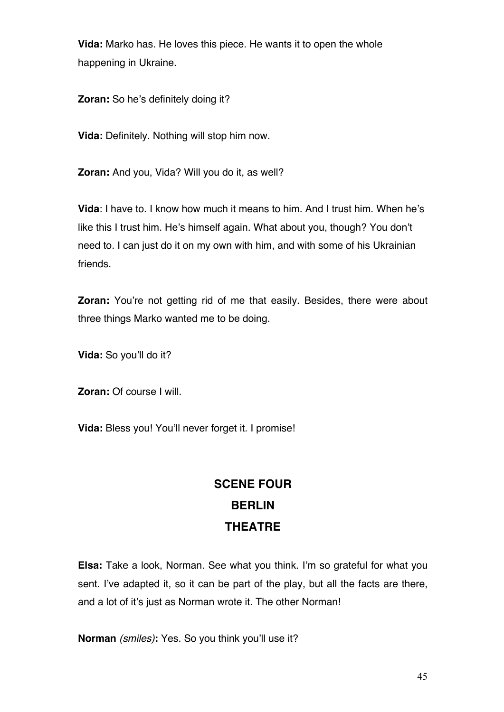**Vida:** Marko has. He loves this piece. He wants it to open the whole happening in Ukraine.

**Zoran:** So he's definitely doing it?

**Vida:** Definitely. Nothing will stop him now.

**Zoran:** And you, Vida? Will you do it, as well?

**Vida**: I have to. I know how much it means to him. And I trust him. When he's like this I trust him. He's himself again. What about you, though? You don't need to. I can just do it on my own with him, and with some of his Ukrainian friends.

**Zoran:** You're not getting rid of me that easily. Besides, there were about three things Marko wanted me to be doing.

**Vida:** So you'll do it?

**Zoran:** Of course I will.

**Vida:** Bless you! You'll never forget it. I promise!

# **SCENE FOUR BERLIN THEATRE**

**Elsa:** Take a look, Norman. See what you think. I'm so grateful for what you sent. I've adapted it, so it can be part of the play, but all the facts are there, and a lot of it's just as Norman wrote it. The other Norman!

**Norman** *(smiles)***:** Yes. So you think you'll use it?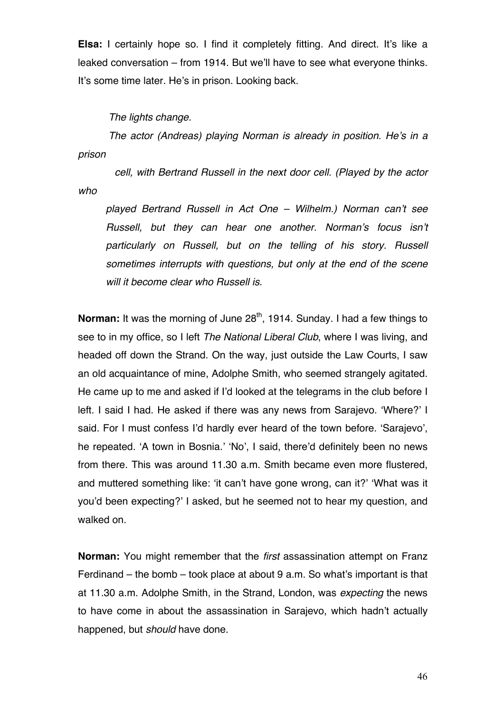**Elsa:** I certainly hope so. I find it completely fitting. And direct. It's like a leaked conversation – from 1914. But we'll have to see what everyone thinks. It's some time later. He's in prison. Looking back.

*The lights change.*

*The actor (Andreas) playing Norman is already in position. He's in a prison* 

 *cell, with Bertrand Russell in the next door cell. (Played by the actor who* 

*played Bertrand Russell in Act One – Wilhelm.) Norman can't see Russell, but they can hear one another. Norman's focus isn't particularly on Russell, but on the telling of his story. Russell sometimes interrupts with questions, but only at the end of the scene will it become clear who Russell is.* 

**Norman:** It was the morning of June 28<sup>th</sup>, 1914. Sunday. I had a few things to see to in my office, so I left *The National Liberal Club*, where I was living, and headed off down the Strand. On the way, just outside the Law Courts, I saw an old acquaintance of mine, Adolphe Smith, who seemed strangely agitated. He came up to me and asked if I'd looked at the telegrams in the club before I left. I said I had. He asked if there was any news from Sarajevo. 'Where?' I said. For I must confess I'd hardly ever heard of the town before. 'Sarajevo', he repeated. 'A town in Bosnia.' 'No', I said, there'd definitely been no news from there. This was around 11.30 a.m. Smith became even more flustered, and muttered something like: 'it can't have gone wrong, can it?' 'What was it you'd been expecting?' I asked, but he seemed not to hear my question, and walked on.

**Norman:** You might remember that the *first* assassination attempt on Franz Ferdinand – the bomb – took place at about 9 a.m. So what's important is that at 11.30 a.m. Adolphe Smith, in the Strand, London, was *expecting* the news to have come in about the assassination in Sarajevo, which hadn't actually happened, but *should* have done.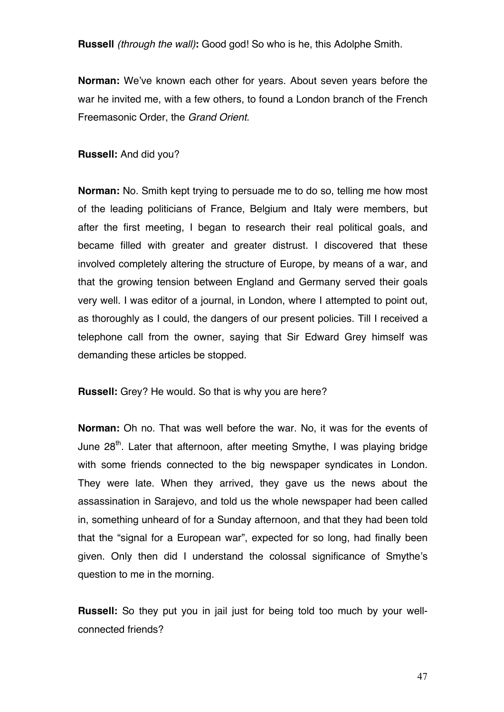**Russell** *(through the wall)***:** Good god! So who is he, this Adolphe Smith.

**Norman:** We've known each other for years. About seven years before the war he invited me, with a few others, to found a London branch of the French Freemasonic Order, the *Grand Orient.*

**Russell:** And did you?

**Norman:** No. Smith kept trying to persuade me to do so, telling me how most of the leading politicians of France, Belgium and Italy were members, but after the first meeting, I began to research their real political goals, and became filled with greater and greater distrust. I discovered that these involved completely altering the structure of Europe, by means of a war, and that the growing tension between England and Germany served their goals very well. I was editor of a journal, in London, where I attempted to point out, as thoroughly as I could, the dangers of our present policies. Till I received a telephone call from the owner, saying that Sir Edward Grey himself was demanding these articles be stopped.

**Russell:** Grey? He would. So that is why you are here?

**Norman:** Oh no. That was well before the war. No, it was for the events of June 28<sup>th</sup>. Later that afternoon, after meeting Smythe, I was playing bridge with some friends connected to the big newspaper syndicates in London. They were late. When they arrived, they gave us the news about the assassination in Sarajevo, and told us the whole newspaper had been called in, something unheard of for a Sunday afternoon, and that they had been told that the "signal for a European war", expected for so long, had finally been given. Only then did I understand the colossal significance of Smythe's question to me in the morning.

**Russell:** So they put you in jail just for being told too much by your wellconnected friends?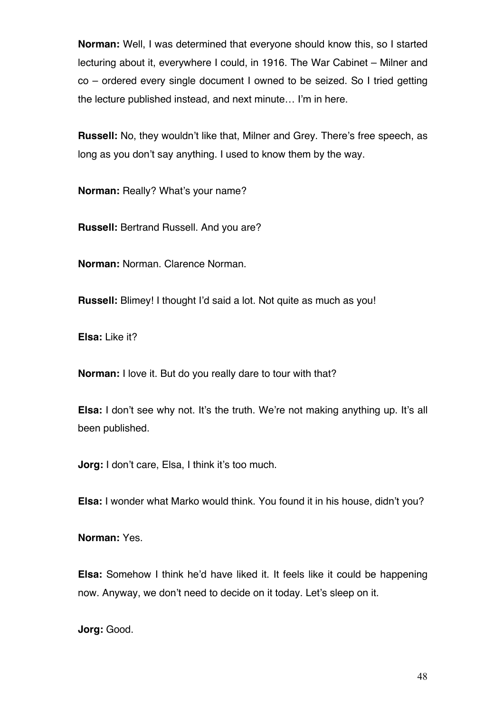**Norman:** Well, I was determined that everyone should know this, so I started lecturing about it, everywhere I could, in 1916. The War Cabinet – Milner and co – ordered every single document I owned to be seized. So I tried getting the lecture published instead, and next minute… I'm in here.

**Russell:** No, they wouldn't like that, Milner and Grey. There's free speech, as long as you don't say anything. I used to know them by the way.

**Norman: Really? What's your name?** 

**Russell:** Bertrand Russell. And you are?

**Norman:** Norman. Clarence Norman.

**Russell:** Blimey! I thought I'd said a lot. Not quite as much as you!

**Elsa:** Like it?

**Norman:** I love it. But do you really dare to tour with that?

**Elsa:** I don't see why not. It's the truth. We're not making anything up. It's all been published.

**Jorg:** I don't care, Elsa, I think it's too much.

**Elsa:** I wonder what Marko would think. You found it in his house, didn't you?

**Norman:** Yes.

**Elsa:** Somehow I think he'd have liked it. It feels like it could be happening now. Anyway, we don't need to decide on it today. Let's sleep on it.

**Jorg:** Good.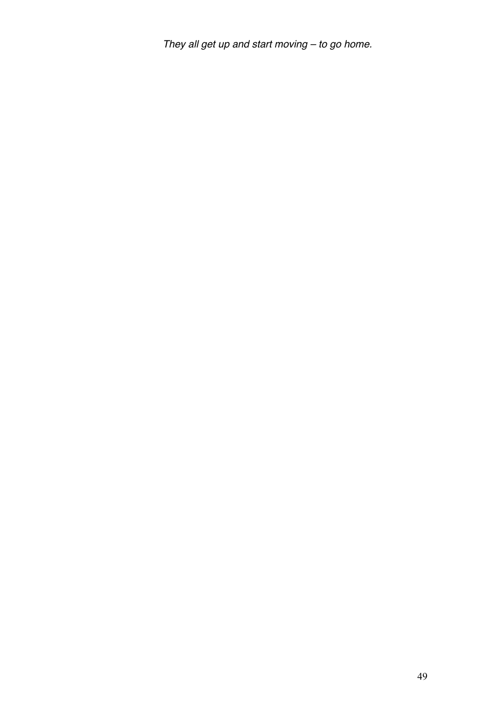*They all get up and start moving – to go home.*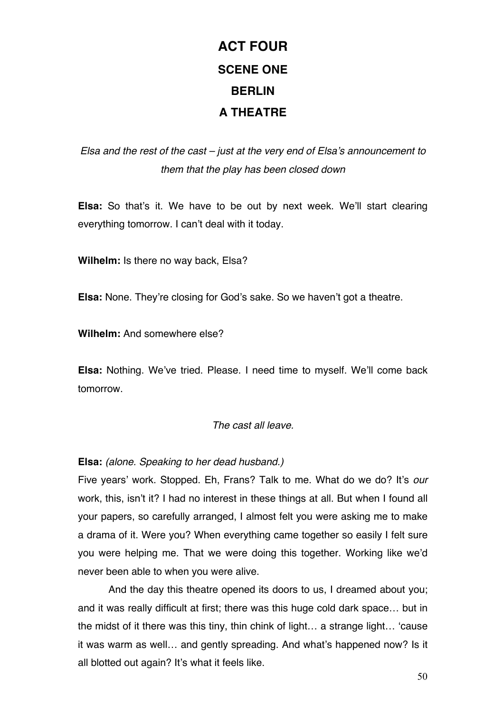# **ACT FOUR SCENE ONE BERLIN A THEATRE**

*Elsa and the rest of the cast – just at the very end of Elsa's announcement to them that the play has been closed down*

**Elsa:** So that's it. We have to be out by next week. We'll start clearing everything tomorrow. I can't deal with it today.

**Wilhelm:** Is there no way back, Elsa?

**Elsa:** None. They're closing for God's sake. So we haven't got a theatre.

**Wilhelm:** And somewhere else?

**Elsa:** Nothing. We've tried. Please. I need time to myself. We'll come back tomorrow.

*The cast all leave.*

**Elsa:** *(alone. Speaking to her dead husband.)*

Five years' work. Stopped. Eh, Frans? Talk to me. What do we do? It's *our*  work, this, isn't it? I had no interest in these things at all. But when I found all your papers, so carefully arranged, I almost felt you were asking me to make a drama of it. Were you? When everything came together so easily I felt sure you were helping me. That we were doing this together. Working like we'd never been able to when you were alive.

And the day this theatre opened its doors to us, I dreamed about you; and it was really difficult at first; there was this huge cold dark space… but in the midst of it there was this tiny, thin chink of light… a strange light… 'cause it was warm as well… and gently spreading. And what's happened now? Is it all blotted out again? It's what it feels like.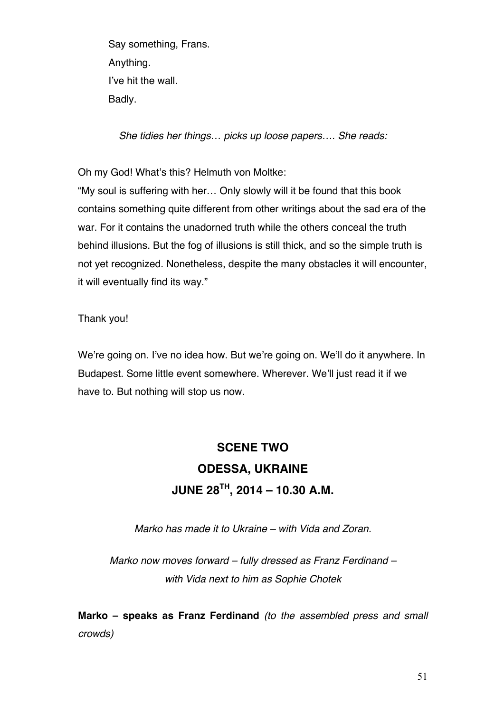Say something, Frans. Anything. I've hit the wall. Badly.

*She tidies her things… picks up loose papers…. She reads:*

Oh my God! What's this? Helmuth von Moltke:

"My soul is suffering with her… Only slowly will it be found that this book contains something quite different from other writings about the sad era of the war. For it contains the unadorned truth while the others conceal the truth behind illusions. But the fog of illusions is still thick, and so the simple truth is not yet recognized. Nonetheless, despite the many obstacles it will encounter, it will eventually find its way."

Thank you!

We're going on. I've no idea how. But we're going on. We'll do it anywhere. In Budapest. Some little event somewhere. Wherever. We'll just read it if we have to. But nothing will stop us now.

# **SCENE TWO ODESSA, UKRAINE JUNE 28TH, 2014 – 10.30 A.M.**

*Marko has made it to Ukraine – with Vida and Zoran.*

*Marko now moves forward – fully dressed as Franz Ferdinand – with Vida next to him as Sophie Chotek*

**Marko – speaks as Franz Ferdinand** *(to the assembled press and small crowds)*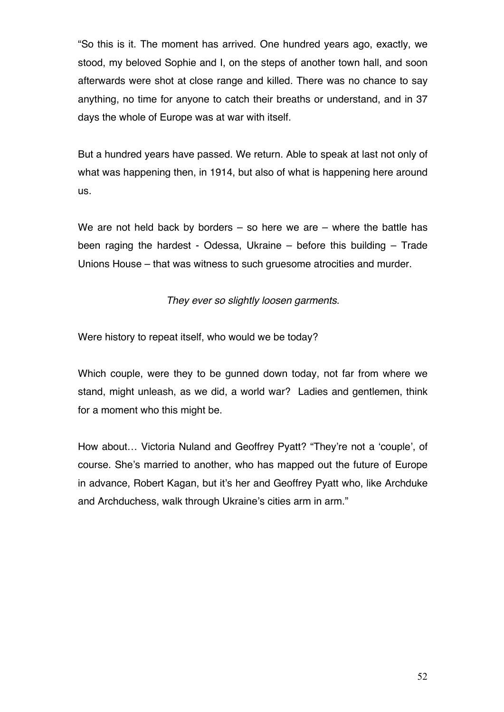"So this is it. The moment has arrived. One hundred years ago, exactly, we stood, my beloved Sophie and I, on the steps of another town hall, and soon afterwards were shot at close range and killed. There was no chance to say anything, no time for anyone to catch their breaths or understand, and in 37 days the whole of Europe was at war with itself.

But a hundred years have passed. We return. Able to speak at last not only of what was happening then, in 1914, but also of what is happening here around us.

We are not held back by borders  $-$  so here we are  $-$  where the battle has been raging the hardest - Odessa, Ukraine – before this building – Trade Unions House – that was witness to such gruesome atrocities and murder.

*They ever so slightly loosen garments.*

Were history to repeat itself, who would we be today?

Which couple, were they to be gunned down today, not far from where we stand, might unleash, as we did, a world war? Ladies and gentlemen, think for a moment who this might be.

How about… Victoria Nuland and Geoffrey Pyatt? "They're not a 'couple', of course. She's married to another, who has mapped out the future of Europe in advance, Robert Kagan, but it's her and Geoffrey Pyatt who, like Archduke and Archduchess, walk through Ukraine's cities arm in arm."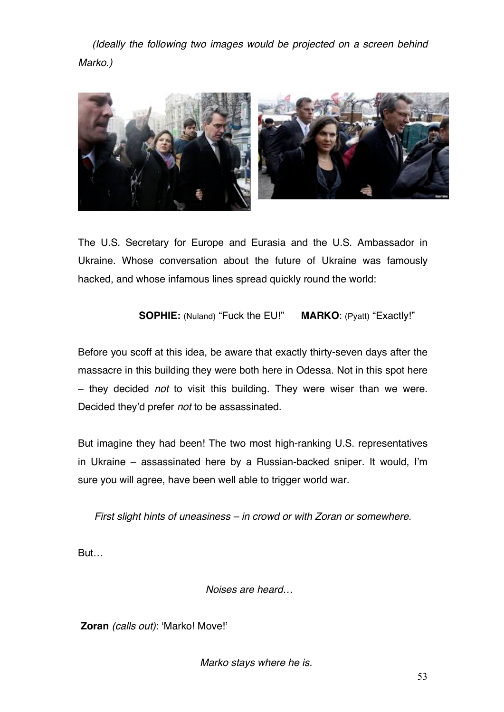*(Ideally the following two images would be projected on a screen behind Marko.)* 



The U.S. Secretary for Europe and Eurasia and the U.S. Ambassador in Ukraine. Whose conversation about the future of Ukraine was famously hacked, and whose infamous lines spread quickly round the world:

## **SOPHIE:** (Nuland) "Fuck the EU!" **MARKO**: (Pyatt) "Exactly!"

Before you scoff at this idea, be aware that exactly thirty-seven days after the massacre in this building they were both here in Odessa. Not in this spot here – they decided *not* to visit this building. They were wiser than we were. Decided they'd prefer *not* to be assassinated.

But imagine they had been! The two most high-ranking U.S. representatives in Ukraine – assassinated here by a Russian-backed sniper. It would, I'm sure you will agree, have been well able to trigger world war.

*First slight hints of uneasiness – in crowd or with Zoran or somewhere.*

But…

*Noises are heard…* 

**Zoran** *(calls out)*: 'Marko! Move!'

*Marko stays where he is.*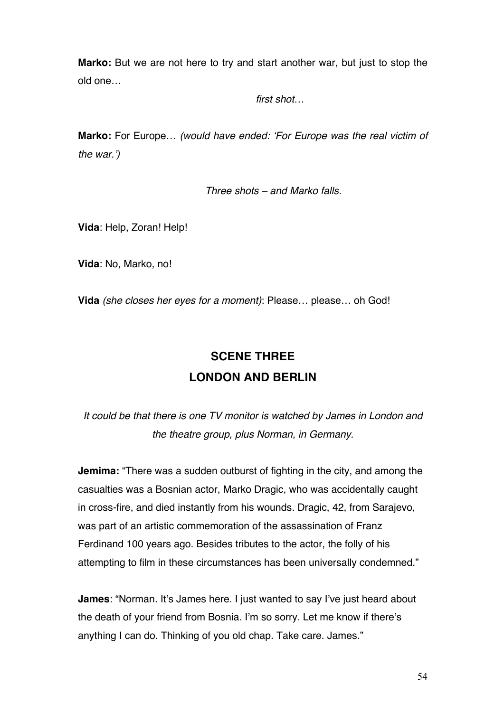**Marko:** But we are not here to try and start another war, but just to stop the old one…

*first shot…*

**Marko:** For Europe… *(would have ended: 'For Europe was the real victim of the war.')*

*Three shots – and Marko falls.*

**Vida**: Help, Zoran! Help!

**Vida**: No, Marko, no!

**Vida** *(she closes her eyes for a moment)*: Please… please… oh God!

# **SCENE THREE LONDON AND BERLIN**

*It could be that there is one TV monitor is watched by James in London and the theatre group, plus Norman, in Germany.*

**Jemima:** "There was a sudden outburst of fighting in the city, and among the casualties was a Bosnian actor, Marko Dragic, who was accidentally caught in cross-fire, and died instantly from his wounds. Dragic, 42, from Sarajevo, was part of an artistic commemoration of the assassination of Franz Ferdinand 100 years ago. Besides tributes to the actor, the folly of his attempting to film in these circumstances has been universally condemned."

**James**: "Norman. It's James here. I just wanted to say I've just heard about the death of your friend from Bosnia. I'm so sorry. Let me know if there's anything I can do. Thinking of you old chap. Take care. James."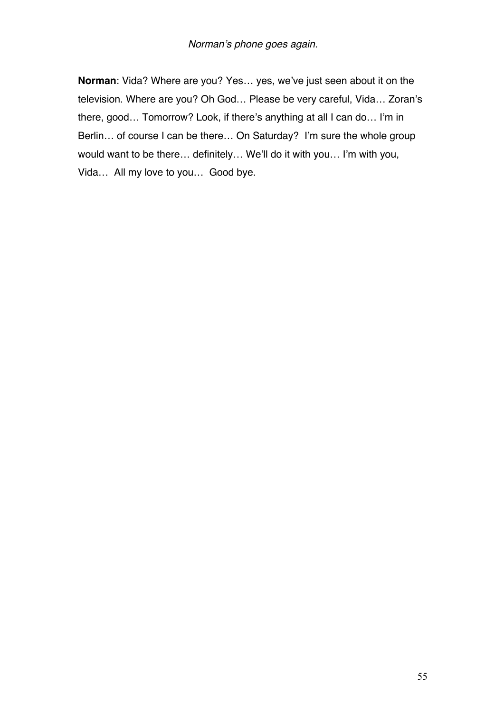**Norman**: Vida? Where are you? Yes… yes, we've just seen about it on the television. Where are you? Oh God… Please be very careful, Vida… Zoran's there, good… Tomorrow? Look, if there's anything at all I can do… I'm in Berlin… of course I can be there… On Saturday? I'm sure the whole group would want to be there… definitely… We'll do it with you… I'm with you, Vida… All my love to you… Good bye.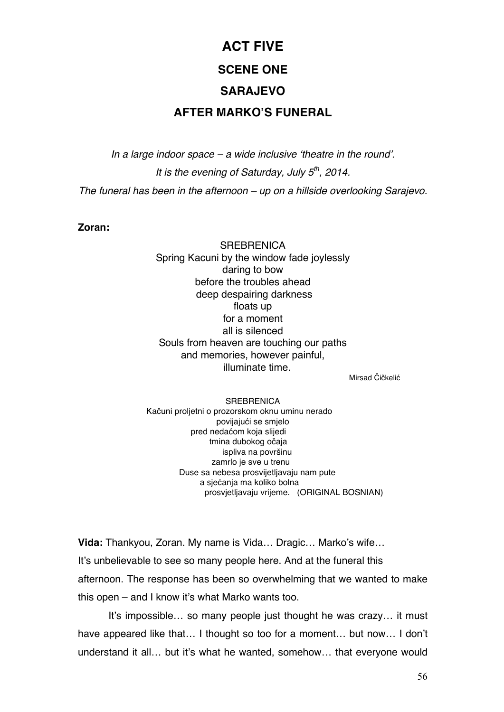# **ACT FIVE SCENE ONE SARAJEVO AFTER MARKO'S FUNERAL**

*In a large indoor space – a wide inclusive 'theatre in the round'. It is the evening of Saturday, July 5th, 2014. The funeral has been in the afternoon – up on a hillside overlooking Sarajevo.*

### **Zoran:**

**SREBRENICA** Spring Kacuni by the window fade joylessly daring to bow before the troubles ahead deep despairing darkness floats up for a moment all is silenced Souls from heaven are touching our paths and memories, however painful, illuminate time.

Mirsad Čičkelić

#### **SREBRENICA**

 Kačuni proljetni o prozorskom oknu uminu nerado povijajući se smjelo pred nedaćom koja slijedi tmina dubokog očaja ispliva na površinu zamrlo je sve u trenu Duse sa nebesa prosvijetljavaju nam pute a sjećanja ma koliko bolna prosvjetljavaju vrijeme. (ORIGINAL BOSNIAN)

**Vida:** Thankyou, Zoran. My name is Vida… Dragic… Marko's wife… It's unbelievable to see so many people here. And at the funeral this afternoon. The response has been so overwhelming that we wanted to make this open – and I know it's what Marko wants too.

It's impossible… so many people just thought he was crazy… it must have appeared like that… I thought so too for a moment… but now… I don't understand it all… but it's what he wanted, somehow… that everyone would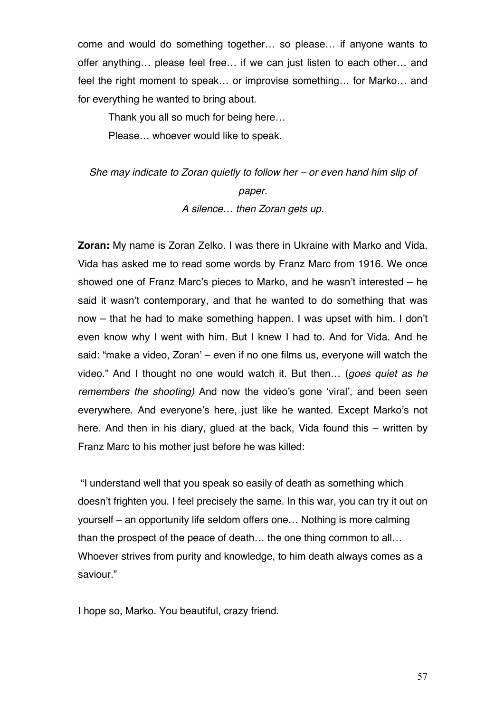come and would do something together… so please… if anyone wants to offer anything… please feel free… if we can just listen to each other… and feel the right moment to speak… or improvise something… for Marko… and for everything he wanted to bring about.

Thank you all so much for being here…

Please… whoever would like to speak.

*She may indicate to Zoran quietly to follow her – or even hand him slip of paper. A silence… then Zoran gets up.*

**Zoran:** My name is Zoran Zelko. I was there in Ukraine with Marko and Vida. Vida has asked me to read some words by Franz Marc from 1916. We once showed one of Franz Marc's pieces to Marko, and he wasn't interested – he said it wasn't contemporary, and that he wanted to do something that was now – that he had to make something happen. I was upset with him. I don't even know why I went with him. But I knew I had to. And for Vida. And he said: "make a video, Zoran' – even if no one films us, everyone will watch the video." And I thought no one would watch it. But then… (*goes quiet as he remembers the shooting)* And now the video's gone 'viral', and been seen everywhere. And everyone's here, just like he wanted. Except Marko's not here. And then in his diary, glued at the back, Vida found this – written by Franz Marc to his mother just before he was killed:

"I understand well that you speak so easily of death as something which doesn't frighten you. I feel precisely the same. In this war, you can try it out on yourself – an opportunity life seldom offers one… Nothing is more calming than the prospect of the peace of death… the one thing common to all… Whoever strives from purity and knowledge, to him death always comes as a saviour."

I hope so, Marko. You beautiful, crazy friend.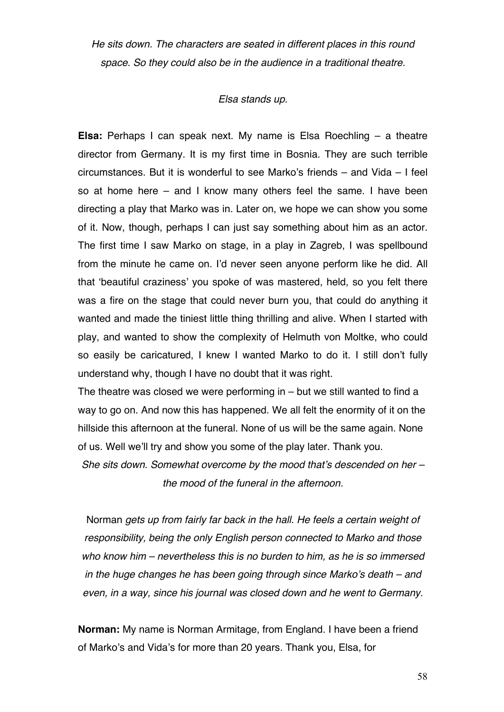*He sits down. The characters are seated in different places in this round space. So they could also be in the audience in a traditional theatre.*

#### *Elsa stands up.*

**Elsa:** Perhaps I can speak next. My name is Elsa Roechling – a theatre director from Germany. It is my first time in Bosnia. They are such terrible circumstances. But it is wonderful to see Marko's friends – and Vida – I feel so at home here – and I know many others feel the same. I have been directing a play that Marko was in. Later on, we hope we can show you some of it. Now, though, perhaps I can just say something about him as an actor. The first time I saw Marko on stage, in a play in Zagreb, I was spellbound from the minute he came on. I'd never seen anyone perform like he did. All that 'beautiful craziness' you spoke of was mastered, held, so you felt there was a fire on the stage that could never burn you, that could do anything it wanted and made the tiniest little thing thrilling and alive. When I started with play, and wanted to show the complexity of Helmuth von Moltke, who could so easily be caricatured, I knew I wanted Marko to do it. I still don't fully understand why, though I have no doubt that it was right.

The theatre was closed we were performing in – but we still wanted to find a way to go on. And now this has happened. We all felt the enormity of it on the hillside this afternoon at the funeral. None of us will be the same again. None of us. Well we'll try and show you some of the play later. Thank you.

*She sits down. Somewhat overcome by the mood that's descended on her – the mood of the funeral in the afternoon.*

Norman *gets up from fairly far back in the hall. He feels a certain weight of responsibility, being the only English person connected to Marko and those who know him – nevertheless this is no burden to him, as he is so immersed in the huge changes he has been going through since Marko's death – and even, in a way, since his journal was closed down and he went to Germany.*

**Norman:** My name is Norman Armitage, from England. I have been a friend of Marko's and Vida's for more than 20 years. Thank you, Elsa, for

58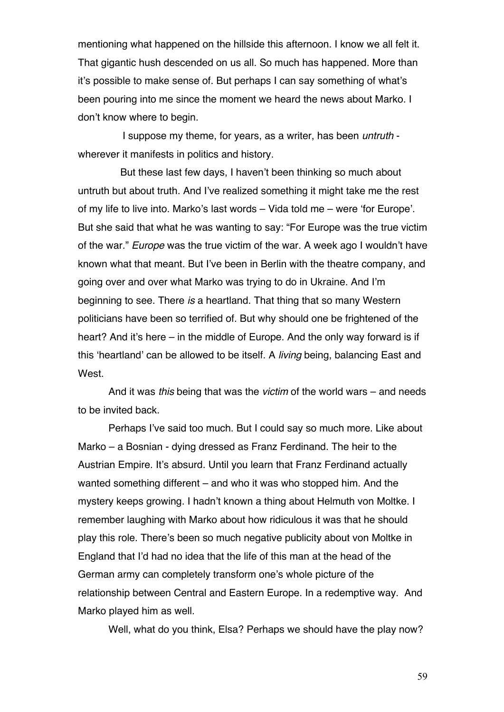mentioning what happened on the hillside this afternoon. I know we all felt it. That gigantic hush descended on us all. So much has happened. More than it's possible to make sense of. But perhaps I can say something of what's been pouring into me since the moment we heard the news about Marko. I don't know where to begin.

 I suppose my theme, for years, as a writer, has been *untruth* wherever it manifests in politics and history.

 But these last few days, I haven't been thinking so much about untruth but about truth. And I've realized something it might take me the rest of my life to live into. Marko's last words – Vida told me – were 'for Europe'. But she said that what he was wanting to say: "For Europe was the true victim of the war." *Europe* was the true victim of the war. A week ago I wouldn't have known what that meant. But I've been in Berlin with the theatre company, and going over and over what Marko was trying to do in Ukraine. And I'm beginning to see. There *is* a heartland. That thing that so many Western politicians have been so terrified of. But why should one be frightened of the heart? And it's here – in the middle of Europe. And the only way forward is if this 'heartland' can be allowed to be itself. A *living* being, balancing East and West.

And it was *this* being that was the *victim* of the world wars – and needs to be invited back.

Perhaps I've said too much. But I could say so much more. Like about Marko – a Bosnian - dying dressed as Franz Ferdinand. The heir to the Austrian Empire. It's absurd. Until you learn that Franz Ferdinand actually wanted something different – and who it was who stopped him. And the mystery keeps growing. I hadn't known a thing about Helmuth von Moltke. I remember laughing with Marko about how ridiculous it was that he should play this role. There's been so much negative publicity about von Moltke in England that I'd had no idea that the life of this man at the head of the German army can completely transform one's whole picture of the relationship between Central and Eastern Europe. In a redemptive way. And Marko played him as well.

Well, what do you think, Elsa? Perhaps we should have the play now?

59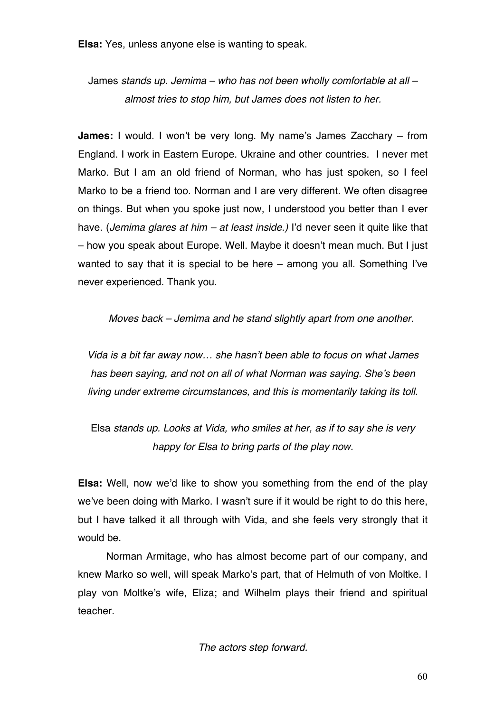**Elsa:** Yes, unless anyone else is wanting to speak.

James *stands up. Jemima – who has not been wholly comfortable at all – almost tries to stop him, but James does not listen to her.*

**James:** I would. I won't be very long. My name's James Zacchary – from England. I work in Eastern Europe. Ukraine and other countries. I never met Marko. But I am an old friend of Norman, who has just spoken, so I feel Marko to be a friend too. Norman and I are very different. We often disagree on things. But when you spoke just now, I understood you better than I ever have. (*Jemima glares at him – at least inside.)* I'd never seen it quite like that – how you speak about Europe. Well. Maybe it doesn't mean much. But I just wanted to say that it is special to be here – among you all. Something I've never experienced. Thank you.

*Moves back – Jemima and he stand slightly apart from one another.*

*Vida is a bit far away now… she hasn't been able to focus on what James has been saying, and not on all of what Norman was saying. She's been living under extreme circumstances, and this is momentarily taking its toll.*

Elsa *stands up. Looks at Vida, who smiles at her, as if to say she is very happy for Elsa to bring parts of the play now.*

**Elsa:** Well, now we'd like to show you something from the end of the play we've been doing with Marko. I wasn't sure if it would be right to do this here, but I have talked it all through with Vida, and she feels very strongly that it would be.

 Norman Armitage, who has almost become part of our company, and knew Marko so well, will speak Marko's part, that of Helmuth of von Moltke. I play von Moltke's wife, Eliza; and Wilhelm plays their friend and spiritual teacher.

*The actors step forward.*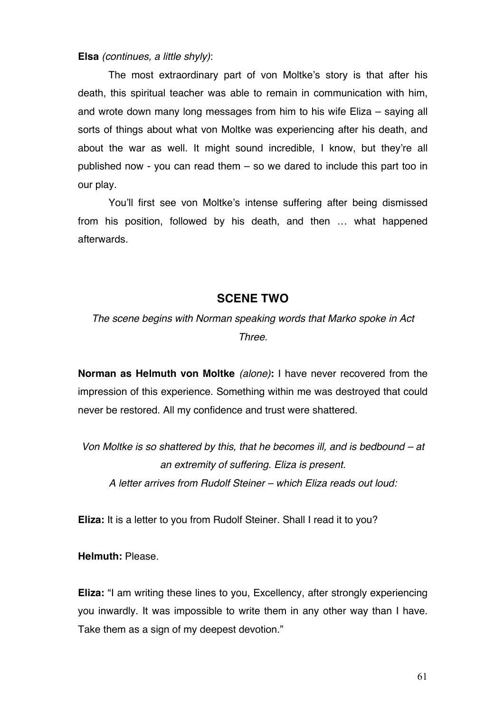#### **Elsa** *(continues, a little shyly)*:

The most extraordinary part of von Moltke's story is that after his death, this spiritual teacher was able to remain in communication with him, and wrote down many long messages from him to his wife Eliza – saying all sorts of things about what von Moltke was experiencing after his death, and about the war as well. It might sound incredible, I know, but they're all published now - you can read them – so we dared to include this part too in our play.

You'll first see von Moltke's intense suffering after being dismissed from his position, followed by his death, and then … what happened afterwards.

### **SCENE TWO**

*The scene begins with Norman speaking words that Marko spoke in Act Three.*

**Norman as Helmuth von Moltke** *(alone)***:** I have never recovered from the impression of this experience. Something within me was destroyed that could never be restored. All my confidence and trust were shattered.

*Von Moltke is so shattered by this, that he becomes ill, and is bedbound – at an extremity of suffering. Eliza is present. A letter arrives from Rudolf Steiner – which Eliza reads out loud:*

**Eliza:** It is a letter to you from Rudolf Steiner. Shall I read it to you?

**Helmuth:** Please.

**Eliza:** "I am writing these lines to you, Excellency, after strongly experiencing you inwardly. It was impossible to write them in any other way than I have. Take them as a sign of my deepest devotion."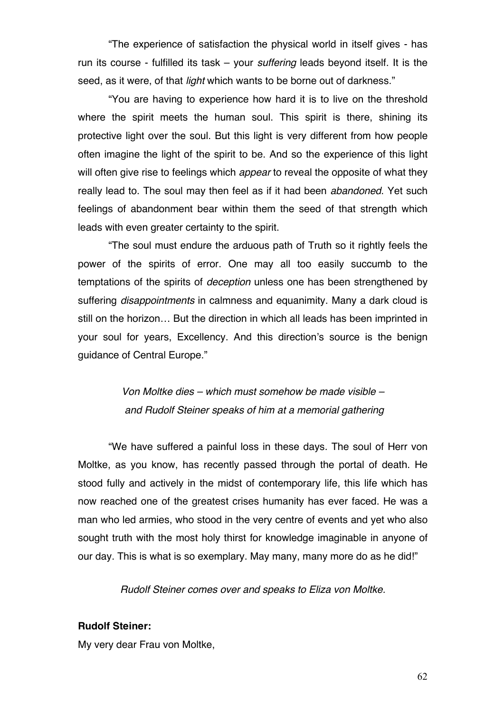"The experience of satisfaction the physical world in itself gives - has run its course - fulfilled its task – your *suffering* leads beyond itself. It is the seed, as it were, of that *light* which wants to be borne out of darkness."

"You are having to experience how hard it is to live on the threshold where the spirit meets the human soul. This spirit is there, shining its protective light over the soul. But this light is very different from how people often imagine the light of the spirit to be. And so the experience of this light will often give rise to feelings which *appear* to reveal the opposite of what they really lead to. The soul may then feel as if it had been *abandoned*. Yet such feelings of abandonment bear within them the seed of that strength which leads with even greater certainty to the spirit.

"The soul must endure the arduous path of Truth so it rightly feels the power of the spirits of error. One may all too easily succumb to the temptations of the spirits of *deception* unless one has been strengthened by suffering *disappointments* in calmness and equanimity. Many a dark cloud is still on the horizon… But the direction in which all leads has been imprinted in your soul for years, Excellency. And this direction's source is the benign guidance of Central Europe."

> *Von Moltke dies – which must somehow be made visible – and Rudolf Steiner speaks of him at a memorial gathering*

"We have suffered a painful loss in these days. The soul of Herr von Moltke, as you know, has recently passed through the portal of death. He stood fully and actively in the midst of contemporary life, this life which has now reached one of the greatest crises humanity has ever faced. He was a man who led armies, who stood in the very centre of events and yet who also sought truth with the most holy thirst for knowledge imaginable in anyone of our day. This is what is so exemplary. May many, many more do as he did!"

*Rudolf Steiner comes over and speaks to Eliza von Moltke.*

#### **Rudolf Steiner:**

My very dear Frau von Moltke,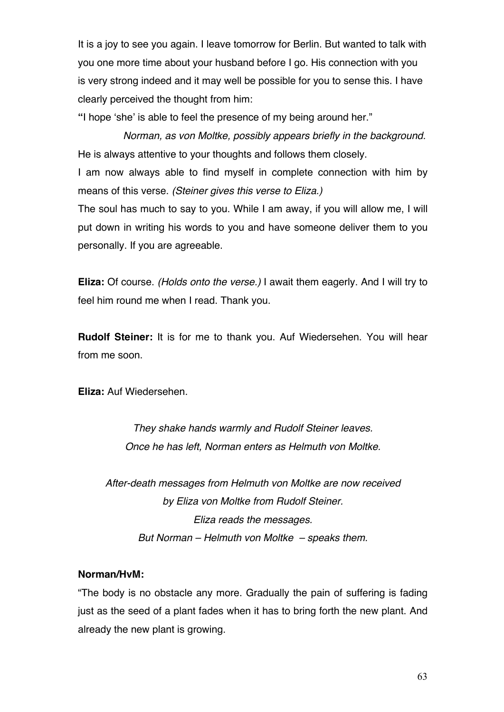It is a joy to see you again. I leave tomorrow for Berlin. But wanted to talk with you one more time about your husband before I go. His connection with you is very strong indeed and it may well be possible for you to sense this. I have clearly perceived the thought from him:

**"**I hope 'she' is able to feel the presence of my being around her."

 *Norman, as von Moltke, possibly appears briefly in the background.* He is always attentive to your thoughts and follows them closely.

I am now always able to find myself in complete connection with him by means of this verse. *(Steiner gives this verse to Eliza.)*

The soul has much to say to you. While I am away, if you will allow me, I will put down in writing his words to you and have someone deliver them to you personally. If you are agreeable.

**Eliza:** Of course. *(Holds onto the verse.)* I await them eagerly. And I will try to feel him round me when I read. Thank you.

**Rudolf Steiner:** It is for me to thank you. Auf Wiedersehen. You will hear from me soon.

**Eliza:** Auf Wiedersehen.

*They shake hands warmly and Rudolf Steiner leaves. Once he has left, Norman enters as Helmuth von Moltke.*

*After-death messages from Helmuth von Moltke are now received by Eliza von Moltke from Rudolf Steiner. Eliza reads the messages. But Norman – Helmuth von Moltke – speaks them.*

### **Norman/HvM:**

"The body is no obstacle any more. Gradually the pain of suffering is fading just as the seed of a plant fades when it has to bring forth the new plant. And already the new plant is growing.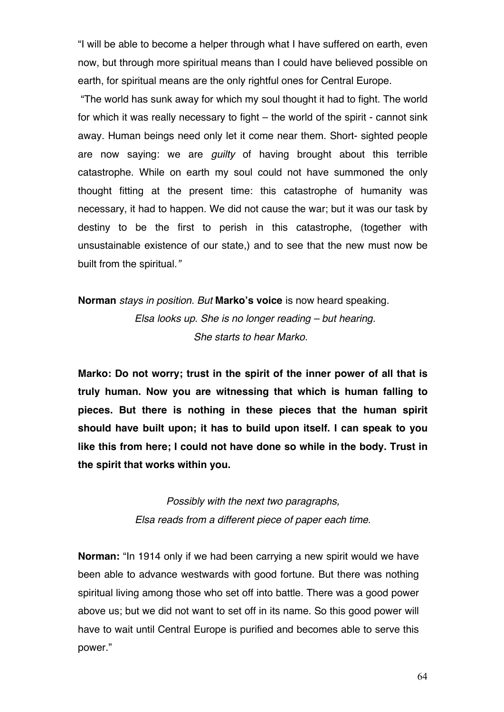"I will be able to become a helper through what I have suffered on earth, even now, but through more spiritual means than I could have believed possible on earth, for spiritual means are the only rightful ones for Central Europe.

"The world has sunk away for which my soul thought it had to fight. The world for which it was really necessary to fight – the world of the spirit - cannot sink away. Human beings need only let it come near them. Short- sighted people are now saying: we are *guilty* of having brought about this terrible catastrophe. While on earth my soul could not have summoned the only thought fitting at the present time: this catastrophe of humanity was necessary, it had to happen. We did not cause the war; but it was our task by destiny to be the first to perish in this catastrophe, (together with unsustainable existence of our state,) and to see that the new must now be built from the spiritual.*"*

**Norman** *stays in position. But* **Marko's voice** is now heard speaking. *Elsa looks up. She is no longer reading – but hearing. She starts to hear Marko.* 

**Marko: Do not worry; trust in the spirit of the inner power of all that is truly human. Now you are witnessing that which is human falling to pieces. But there is nothing in these pieces that the human spirit should have built upon; it has to build upon itself. I can speak to you like this from here; I could not have done so while in the body. Trust in the spirit that works within you.**

> *Possibly with the next two paragraphs, Elsa reads from a different piece of paper each time.*

**Norman:** "In 1914 only if we had been carrying a new spirit would we have been able to advance westwards with good fortune. But there was nothing spiritual living among those who set off into battle. There was a good power above us; but we did not want to set off in its name. So this good power will have to wait until Central Europe is purified and becomes able to serve this power."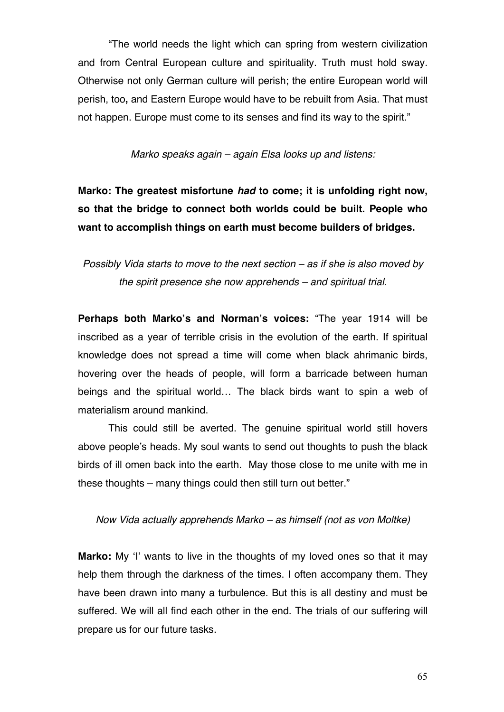"The world needs the light which can spring from western civilization and from Central European culture and spirituality. Truth must hold sway. Otherwise not only German culture will perish; the entire European world will perish, too**,** and Eastern Europe would have to be rebuilt from Asia. That must not happen. Europe must come to its senses and find its way to the spirit."

*Marko speaks again – again Elsa looks up and listens:*

**Marko: The greatest misfortune** *had* **to come; it is unfolding right now, so that the bridge to connect both worlds could be built. People who want to accomplish things on earth must become builders of bridges.**

*Possibly Vida starts to move to the next section – as if she is also moved by the spirit presence she now apprehends – and spiritual trial.* 

**Perhaps both Marko's and Norman's voices:** "The year 1914 will be inscribed as a year of terrible crisis in the evolution of the earth. If spiritual knowledge does not spread a time will come when black ahrimanic birds, hovering over the heads of people, will form a barricade between human beings and the spiritual world… The black birds want to spin a web of materialism around mankind.

This could still be averted. The genuine spiritual world still hovers above people's heads. My soul wants to send out thoughts to push the black birds of ill omen back into the earth. May those close to me unite with me in these thoughts – many things could then still turn out better."

### *Now Vida actually apprehends Marko – as himself (not as von Moltke)*

**Marko:** My 'I' wants to live in the thoughts of my loved ones so that it may help them through the darkness of the times. I often accompany them. They have been drawn into many a turbulence. But this is all destiny and must be suffered. We will all find each other in the end. The trials of our suffering will prepare us for our future tasks.